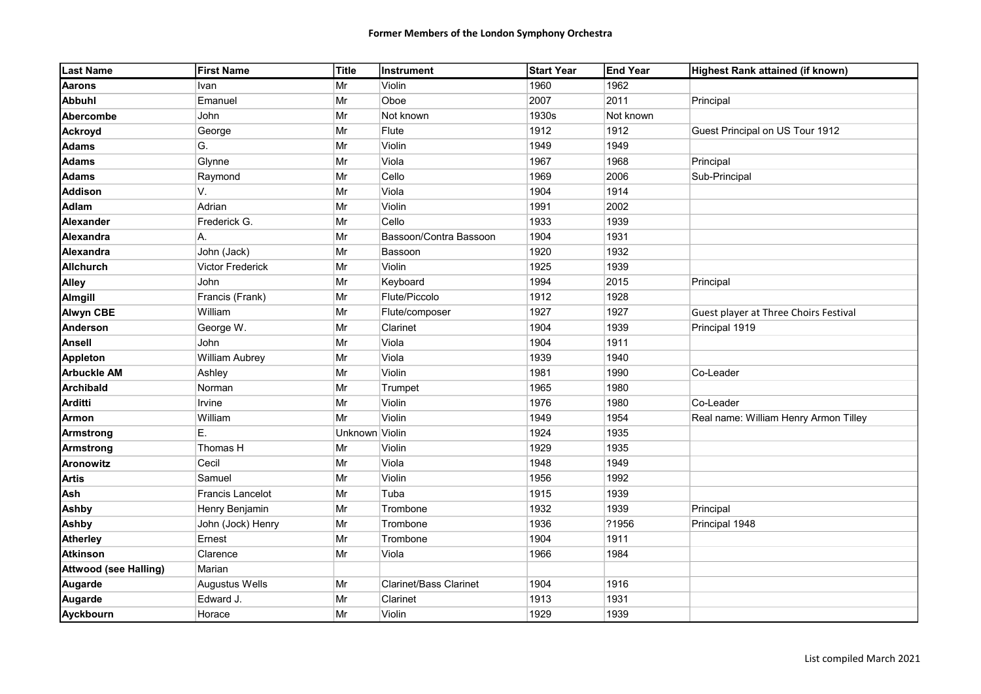| <b>Last Name</b>             | <b>First Name</b>       | Title          | <b>Instrument</b>             | <b>Start Year</b> | <b>End Year</b> | Highest Rank attained (if known)      |
|------------------------------|-------------------------|----------------|-------------------------------|-------------------|-----------------|---------------------------------------|
| <b>Aarons</b>                | Ivan                    | Mr             | Violin                        | 1960              | 1962            |                                       |
| <b>Abbuhl</b>                | Emanuel                 | Mr             | Oboe                          | 2007              | 2011            | Principal                             |
| Abercombe                    | John                    | Mr             | Not known                     | 1930s             | Not known       |                                       |
| <b>Ackroyd</b>               | George                  | Mr             | Flute                         | 1912              | 1912            | Guest Principal on US Tour 1912       |
| <b>Adams</b>                 | G.                      | Mr             | Violin                        | 1949              | 1949            |                                       |
| <b>Adams</b>                 | Glynne                  | Mr             | Viola                         | 1967              | 1968            | Principal                             |
| <b>Adams</b>                 | Raymond                 | Mr             | Cello                         | 1969              | 2006            | Sub-Principal                         |
| <b>Addison</b>               | V.                      | Mr             | Viola                         | 1904              | 1914            |                                       |
| <b>Adlam</b>                 | Adrian                  | Mr             | Violin                        | 1991              | 2002            |                                       |
| Alexander                    | Frederick G.            | Mr             | Cello                         | 1933              | 1939            |                                       |
| Alexandra                    | Α.                      | Mr             | Bassoon/Contra Bassoon        | 1904              | 1931            |                                       |
| Alexandra                    | John (Jack)             | Mr             | Bassoon                       | 1920              | 1932            |                                       |
| <b>Allchurch</b>             | <b>Victor Frederick</b> | Mr             | Violin                        | 1925              | 1939            |                                       |
| <b>Alley</b>                 | <b>John</b>             | Mr             | Keyboard                      | 1994              | 2015            | Principal                             |
| <b>Almgill</b>               | Francis (Frank)         | Mr             | Flute/Piccolo                 | 1912              | 1928            |                                       |
| <b>Alwyn CBE</b>             | William                 | Mr             | Flute/composer                | 1927              | 1927            | Guest player at Three Choirs Festival |
| <b>Anderson</b>              | George W.               | Mr             | Clarinet                      | 1904              | 1939            | Principal 1919                        |
| <b>Ansell</b>                | John                    | Mr             | Viola                         | 1904              | 1911            |                                       |
| <b>Appleton</b>              | <b>William Aubrey</b>   | Mr             | Viola                         | 1939              | 1940            |                                       |
| <b>Arbuckle AM</b>           | Ashley                  | Mr             | Violin                        | 1981              | 1990            | Co-Leader                             |
| <b>Archibald</b>             | Norman                  | Mr             | Trumpet                       | 1965              | 1980            |                                       |
| <b>Arditti</b>               | Irvine                  | Mr             | Violin                        | 1976              | 1980            | Co-Leader                             |
| Armon                        | William                 | Mr             | Violin                        | 1949              | 1954            | Real name: William Henry Armon Tilley |
| <b>Armstrong</b>             | E.                      | Unknown Violin |                               | 1924              | 1935            |                                       |
| <b>Armstrong</b>             | Thomas H                | Mr             | Violin                        | 1929              | 1935            |                                       |
| <b>Aronowitz</b>             | Cecil                   | Mr             | Viola                         | 1948              | 1949            |                                       |
| <b>Artis</b>                 | Samuel                  | Mr             | Violin                        | 1956              | 1992            |                                       |
| Ash                          | Francis Lancelot        | Mr             | Tuba                          | 1915              | 1939            |                                       |
| <b>Ashby</b>                 | Henry Benjamin          | Mr             | Trombone                      | 1932              | 1939            | Principal                             |
| <b>Ashby</b>                 | John (Jock) Henry       | Mr             | Trombone                      | 1936              | ?1956           | Principal 1948                        |
| <b>Atherley</b>              | Ernest                  | Mr             | Trombone                      | 1904              | 1911            |                                       |
| <b>Atkinson</b>              | Clarence                | Mr             | Viola                         | 1966              | 1984            |                                       |
| <b>Attwood (see Halling)</b> | Marian                  |                |                               |                   |                 |                                       |
| <b>Augarde</b>               | Augustus Wells          | Mr             | <b>Clarinet/Bass Clarinet</b> | 1904              | 1916            |                                       |
| Augarde                      | Edward J.               | Mr             | Clarinet                      | 1913              | 1931            |                                       |
| Ayckbourn                    | Horace                  | Mr             | Violin                        | 1929              | 1939            |                                       |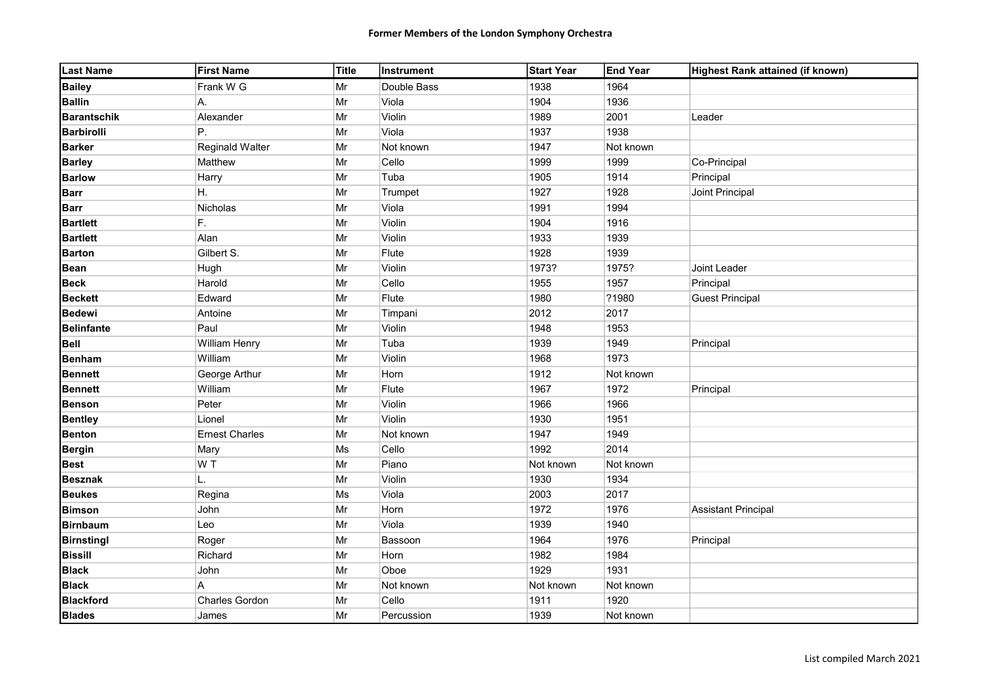| <b>Last Name</b>   | <b>First Name</b>      | Title | Instrument  | Start Year | <b>End Year</b> | Highest Rank attained (if known) |
|--------------------|------------------------|-------|-------------|------------|-----------------|----------------------------------|
| <b>Bailey</b>      | Frank W G              | Mr    | Double Bass | 1938       | 1964            |                                  |
| <b>Ballin</b>      | Α.                     | Mr    | Viola       | 1904       | 1936            |                                  |
| <b>Barantschik</b> | Alexander              | Mr    | Violin      | 1989       | 2001            | Leader                           |
| <b>Barbirolli</b>  | P.                     | Mr    | Viola       | 1937       | 1938            |                                  |
| <b>Barker</b>      | <b>Reginald Walter</b> | Mr    | Not known   | 1947       | Not known       |                                  |
| <b>Barley</b>      | Matthew                | Mr    | Cello       | 1999       | 1999            | Co-Principal                     |
| <b>Barlow</b>      | Harry                  | Mr    | Tuba        | 1905       | 1914            | Principal                        |
| <b>Barr</b>        | H.                     | Mr    | Trumpet     | 1927       | 1928            | Joint Principal                  |
| <b>Barr</b>        | Nicholas               | Mr    | Viola       | 1991       | 1994            |                                  |
| <b>Bartlett</b>    | F.                     | Mr    | Violin      | 1904       | 1916            |                                  |
| <b>Bartlett</b>    | Alan                   | Mr    | Violin      | 1933       | 1939            |                                  |
| <b>Barton</b>      | Gilbert S.             | Mr    | Flute       | 1928       | 1939            |                                  |
| <b>Bean</b>        | Hugh                   | Mr    | Violin      | 1973?      | 1975?           | Joint Leader                     |
| <b>Beck</b>        | Harold                 | Mr    | Cello       | 1955       | 1957            | Principal                        |
| <b>Beckett</b>     | Edward                 | Mr    | Flute       | 1980       | ?1980           | <b>Guest Principal</b>           |
| <b>Bedewi</b>      | Antoine                | Mr    | Timpani     | 2012       | 2017            |                                  |
| <b>Belinfante</b>  | Paul                   | Mr    | Violin      | 1948       | 1953            |                                  |
| <b>Bell</b>        | <b>William Henry</b>   | Mr    | Tuba        | 1939       | 1949            | Principal                        |
| <b>Benham</b>      | William                | Mr    | Violin      | 1968       | 1973            |                                  |
| <b>Bennett</b>     | George Arthur          | Mr    | Horn        | 1912       | Not known       |                                  |
| <b>Bennett</b>     | William                | Mr    | Flute       | 1967       | 1972            | Principal                        |
| <b>Benson</b>      | Peter                  | Mr    | Violin      | 1966       | 1966            |                                  |
| <b>Bentley</b>     | Lionel                 | Mr    | Violin      | 1930       | 1951            |                                  |
| <b>Benton</b>      | <b>Ernest Charles</b>  | Mr    | Not known   | 1947       | 1949            |                                  |
| <b>Bergin</b>      | Mary                   | Ms    | Cello       | 1992       | 2014            |                                  |
| <b>Best</b>        | W T                    | Mr    | Piano       | Not known  | Not known       |                                  |
| <b>Besznak</b>     | L.                     | Mr    | Violin      | 1930       | 1934            |                                  |
| <b>Beukes</b>      | Regina                 | Ms    | Viola       | 2003       | 2017            |                                  |
| <b>Bimson</b>      | John                   | Mr    | Horn        | 1972       | 1976            | <b>Assistant Principal</b>       |
| <b>Birnbaum</b>    | Leo                    | Mr    | Viola       | 1939       | 1940            |                                  |
| <b>Birnstingl</b>  | Roger                  | Mr    | Bassoon     | 1964       | 1976            | Principal                        |
| <b>Bissill</b>     | Richard                | Mr    | Horn        | 1982       | 1984            |                                  |
| <b>Black</b>       | John                   | Mr    | Oboe        | 1929       | 1931            |                                  |
| <b>Black</b>       | A                      | Mr    | Not known   | Not known  | Not known       |                                  |
| <b>Blackford</b>   | <b>Charles Gordon</b>  | Mr    | Cello       | 1911       | 1920            |                                  |
| <b>Blades</b>      | James                  | Mr    | Percussion  | 1939       | Not known       |                                  |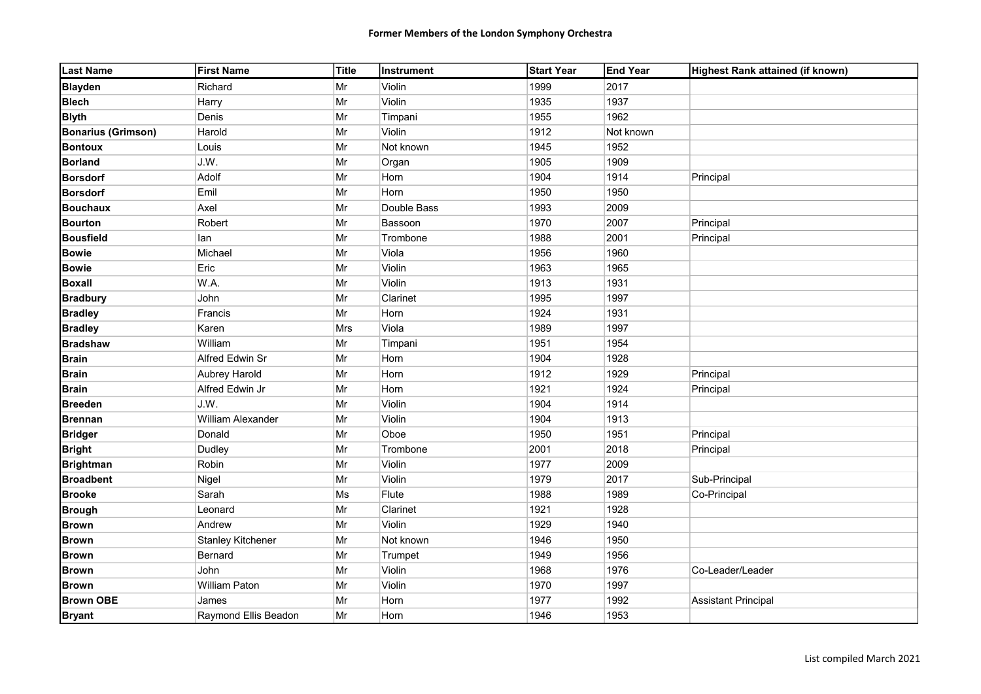| <b>Last Name</b>          | <b>First Name</b>    | Title      | Instrument  | <b>Start Year</b> | <b>End Year</b> | Highest Rank attained (if known) |
|---------------------------|----------------------|------------|-------------|-------------------|-----------------|----------------------------------|
| <b>Blayden</b>            | Richard              | Mr         | Violin      | 1999              | 2017            |                                  |
| <b>Blech</b>              | Harry                | Mr         | Violin      | 1935              | 1937            |                                  |
| <b>Blyth</b>              | Denis                | Mr         | Timpani     | 1955              | 1962            |                                  |
| <b>Bonarius (Grimson)</b> | Harold               | Mr         | Violin      | 1912              | Not known       |                                  |
| <b>Bontoux</b>            | Louis                | Mr         | Not known   | 1945              | 1952            |                                  |
| <b>Borland</b>            | J.W.                 | Mr         | Organ       | 1905              | 1909            |                                  |
| <b>Borsdorf</b>           | Adolf                | Mr         | Horn        | 1904              | 1914            | Principal                        |
| <b>Borsdorf</b>           | Emil                 | Mr         | Horn        | 1950              | 1950            |                                  |
| <b>Bouchaux</b>           | Axel                 | Mr         | Double Bass | 1993              | 2009            |                                  |
| <b>Bourton</b>            | Robert               | Mr         | Bassoon     | 1970              | 2007            | Principal                        |
| <b>Bousfield</b>          | lan                  | Mr         | Trombone    | 1988              | 2001            | Principal                        |
| <b>Bowie</b>              | Michael              | Mr         | Viola       | 1956              | 1960            |                                  |
| <b>Bowie</b>              | Eric                 | Mr         | Violin      | 1963              | 1965            |                                  |
| <b>Boxall</b>             | W.A.                 | $\vert$ Mr | Violin      | 1913              | 1931            |                                  |
| <b>Bradbury</b>           | John                 | $\vert$ Mr | Clarinet    | 1995              | 1997            |                                  |
| <b>Bradley</b>            | Francis              | Mr         | Horn        | 1924              | 1931            |                                  |
| <b>Bradley</b>            | Karen                | Mrs        | Viola       | 1989              | 1997            |                                  |
| <b>Bradshaw</b>           | William              | Mr         | Timpani     | 1951              | 1954            |                                  |
| <b>Brain</b>              | Alfred Edwin Sr      | Mr         | Horn        | 1904              | 1928            |                                  |
| <b>Brain</b>              | Aubrey Harold        | Mr         | Horn        | 1912              | 1929            | Principal                        |
| <b>Brain</b>              | Alfred Edwin Jr      | Mr         | Horn        | 1921              | 1924            | Principal                        |
| <b>Breeden</b>            | J.W.                 | Mr         | Violin      | 1904              | 1914            |                                  |
| <b>Brennan</b>            | William Alexander    | Mr         | Violin      | 1904              | 1913            |                                  |
| <b>Bridger</b>            | Donald               | Mr         | Oboe        | 1950              | 1951            | Principal                        |
| <b>Bright</b>             | Dudley               | $\vert$ Mr | Trombone    | 2001              | 2018            | Principal                        |
| <b>Brightman</b>          | Robin                | Mr         | Violin      | 1977              | 2009            |                                  |
| <b>Broadbent</b>          | Nigel                | Mr         | Violin      | 1979              | 2017            | Sub-Principal                    |
| <b>Brooke</b>             | Sarah                | Ms         | Flute       | 1988              | 1989            | Co-Principal                     |
| <b>Brough</b>             | Leonard              | Mr         | Clarinet    | 1921              | 1928            |                                  |
| <b>Brown</b>              | Andrew               | Mr         | Violin      | 1929              | 1940            |                                  |
| <b>Brown</b>              | Stanley Kitchener    | Mr         | Not known   | 1946              | 1950            |                                  |
| <b>Brown</b>              | Bernard              | Mr         | Trumpet     | 1949              | 1956            |                                  |
| <b>Brown</b>              | John                 | $\vert$ Mr | Violin      | 1968              | 1976            | Co-Leader/Leader                 |
| <b>Brown</b>              | <b>William Paton</b> | Mr         | Violin      | 1970              | 1997            |                                  |
| <b>Brown OBE</b>          | James                | $\vert$ Mr | Horn        | 1977              | 1992            | <b>Assistant Principal</b>       |
| <b>Bryant</b>             | Raymond Ellis Beadon | Mr         | Horn        | 1946              | 1953            |                                  |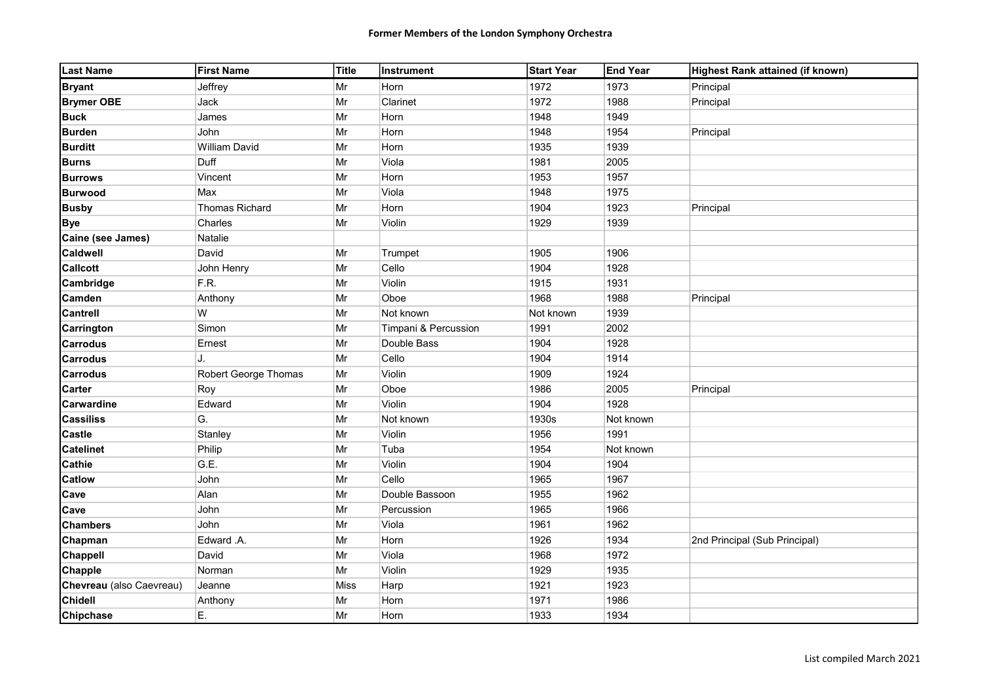| <b>Last Name</b>         | <b>First Name</b>           | Title      | Instrument           | <b>Start Year</b> | <b>End Year</b> | Highest Rank attained (if known) |
|--------------------------|-----------------------------|------------|----------------------|-------------------|-----------------|----------------------------------|
| <b>Bryant</b>            | Jeffrey                     | Mr         | Horn                 | 1972              | 1973            | Principal                        |
| <b>Brymer OBE</b>        | Jack                        | Mr         | Clarinet             | 1972              | 1988            | Principal                        |
| <b>Buck</b>              | James                       | Mr         | Horn                 | 1948              | 1949            |                                  |
| <b>Burden</b>            | John                        | Mr         | Horn                 | 1948              | 1954            | Principal                        |
| <b>Burditt</b>           | <b>William David</b>        | Mr         | Horn                 | 1935              | 1939            |                                  |
| <b>Burns</b>             | Duff                        | Mr         | Viola                | 1981              | 2005            |                                  |
| <b>Burrows</b>           | Vincent                     | Mr         | Horn                 | 1953              | 1957            |                                  |
| <b>Burwood</b>           | Max                         | Mr         | Viola                | 1948              | 1975            |                                  |
| <b>Busby</b>             | Thomas Richard              | Mr         | Horn                 | 1904              | 1923            | Principal                        |
| <b>Bye</b>               | Charles                     | Mr         | Violin               | 1929              | 1939            |                                  |
| Caine (see James)        | Natalie                     |            |                      |                   |                 |                                  |
| <b>Caldwell</b>          | David                       | Mr         | Trumpet              | 1905              | 1906            |                                  |
| <b>Callcott</b>          | John Henry                  | Mr         | Cello                | 1904              | 1928            |                                  |
| Cambridge                | F.R.                        | Mr         | Violin               | 1915              | 1931            |                                  |
| <b>Camden</b>            | Anthony                     | $\vert$ Mr | Oboe                 | 1968              | 1988            | Principal                        |
| <b>Cantrell</b>          | W                           | Mr         | Not known            | Not known         | 1939            |                                  |
| Carrington               | Simon                       | Mr         | Timpani & Percussion | 1991              | 2002            |                                  |
| <b>Carrodus</b>          | Ernest                      | $\vert$ Mr | Double Bass          | 1904              | 1928            |                                  |
| <b>Carrodus</b>          | J.                          | $\vert$ Mr | Cello                | 1904              | 1914            |                                  |
| <b>Carrodus</b>          | <b>Robert George Thomas</b> | $\vert$ Mr | Violin               | 1909              | 1924            |                                  |
| <b>Carter</b>            | Roy                         | Mr         | Oboe                 | 1986              | 2005            | Principal                        |
| Carwardine               | Edward                      | Mr         | Violin               | 1904              | 1928            |                                  |
| <b>Cassiliss</b>         | G.                          | Mr         | Not known            | 1930s             | Not known       |                                  |
| <b>Castle</b>            | Stanley                     | Mr         | Violin               | 1956              | 1991            |                                  |
| <b>Catelinet</b>         | Philip                      | Mr         | Tuba                 | 1954              | Not known       |                                  |
| <b>Cathie</b>            | G.E.                        | Mr         | Violin               | 1904              | 1904            |                                  |
| <b>Catlow</b>            | John                        | Mr         | Cello                | 1965              | 1967            |                                  |
| Cave                     | Alan                        | $\vert$ Mr | Double Bassoon       | 1955              | 1962            |                                  |
| Cave                     | John                        | Mr         | Percussion           | 1965              | 1966            |                                  |
| <b>Chambers</b>          | John                        | $\vert$ Mr | Viola                | 1961              | 1962            |                                  |
| Chapman                  | Edward .A.                  | Mr         | Horn                 | 1926              | 1934            | 2nd Principal (Sub Principal)    |
| Chappell                 | David                       | Mr         | Viola                | 1968              | 1972            |                                  |
| <b>Chapple</b>           | Norman                      | Mr         | Violin               | 1929              | 1935            |                                  |
| Chevreau (also Caevreau) | Jeanne                      | Miss       | Harp                 | 1921              | 1923            |                                  |
| <b>Chidell</b>           | Anthony                     | Mr         | Horn                 | 1971              | 1986            |                                  |
| <b>Chipchase</b>         | Ε.                          | Mr         | Horn                 | 1933              | 1934            |                                  |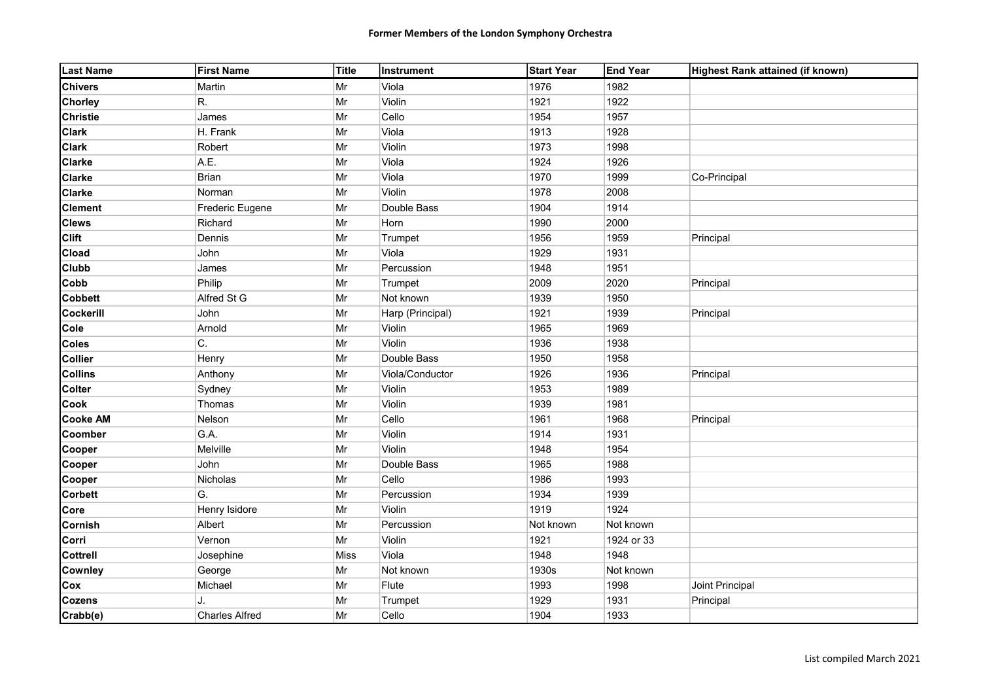| <b>Last Name</b> | <b>First Name</b>     | Title      | <b>Instrument</b> | <b>Start Year</b> | <b>End Year</b> | Highest Rank attained (if known) |
|------------------|-----------------------|------------|-------------------|-------------------|-----------------|----------------------------------|
| <b>Chivers</b>   | Martin                | Mr         | Viola             | 1976              | 1982            |                                  |
| <b>Chorley</b>   | R.                    | Mr         | Violin            | 1921              | 1922            |                                  |
| <b>Christie</b>  | James                 | Mr         | Cello             | 1954              | 1957            |                                  |
| <b>Clark</b>     | H. Frank              | Mr         | Viola             | 1913              | 1928            |                                  |
| <b>Clark</b>     | Robert                | Mr         | Violin            | 1973              | 1998            |                                  |
| <b>Clarke</b>    | A.E.                  | Mr         | Viola             | 1924              | 1926            |                                  |
| <b>Clarke</b>    | Brian                 | Mr         | Viola             | 1970              | 1999            | Co-Principal                     |
| <b>Clarke</b>    | Norman                | Mr         | Violin            | 1978              | 2008            |                                  |
| <b>Clement</b>   | Frederic Eugene       | Mr         | Double Bass       | 1904              | 1914            |                                  |
| <b>Clews</b>     | Richard               | Mr         | Horn              | 1990              | 2000            |                                  |
| <b>Clift</b>     | Dennis                | $\vert$ Mr | Trumpet           | 1956              | 1959            | Principal                        |
| Cload            | John                  | Mr         | Viola             | 1929              | 1931            |                                  |
| <b>Clubb</b>     | James                 | $\vert$ Mr | Percussion        | 1948              | 1951            |                                  |
| Cobb             | Philip                | Mr         | Trumpet           | 2009              | 2020            | Principal                        |
| <b>Cobbett</b>   | Alfred St G           | $\vert$ Mr | Not known         | 1939              | 1950            |                                  |
| <b>Cockerill</b> | John                  | $\vert$ Mr | Harp (Principal)  | 1921              | 1939            | Principal                        |
| Cole             | Arnold                | $\vert$ Mr | Violin            | 1965              | 1969            |                                  |
| <b>Coles</b>     | C.                    | Mr         | Violin            | 1936              | 1938            |                                  |
| <b>Collier</b>   | Henry                 | $\vert$ Mr | Double Bass       | 1950              | 1958            |                                  |
| <b>Collins</b>   | Anthony               | Mr         | Viola/Conductor   | 1926              | 1936            | Principal                        |
| <b>Colter</b>    | Sydney                | Mr         | Violin            | 1953              | 1989            |                                  |
| Cook             | Thomas                | Mr         | Violin            | 1939              | 1981            |                                  |
| <b>Cooke AM</b>  | Nelson                | $\vert$ Mr | Cello             | 1961              | 1968            | Principal                        |
| Coomber          | G.A.                  | Mr         | Violin            | 1914              | 1931            |                                  |
| Cooper           | Melville              | Mr         | Violin            | 1948              | 1954            |                                  |
| Cooper           | John                  | Mr         | Double Bass       | 1965              | 1988            |                                  |
| Cooper           | Nicholas              | Mr         | Cello             | 1986              | 1993            |                                  |
| <b>Corbett</b>   | G.                    | Mr         | Percussion        | 1934              | 1939            |                                  |
| Core             | Henry Isidore         | Mr         | Violin            | 1919              | 1924            |                                  |
| <b>Cornish</b>   | Albert                | $\vert$ Mr | Percussion        | Not known         | Not known       |                                  |
| Corri            | Vernon                | Mr         | Violin            | 1921              | 1924 or 33      |                                  |
| <b>Cottrell</b>  | Josephine             | Miss       | Viola             | 1948              | 1948            |                                  |
| <b>Cownley</b>   | George                | Mr         | Not known         | 1930s             | Not known       |                                  |
| Cox              | Michael               | Mr         | Flute             | 1993              | 1998            | Joint Principal                  |
| <b>Cozens</b>    | J.                    | Mr         | Trumpet           | 1929              | 1931            | Principal                        |
| Crabb(e)         | <b>Charles Alfred</b> | Mr         | Cello             | 1904              | 1933            |                                  |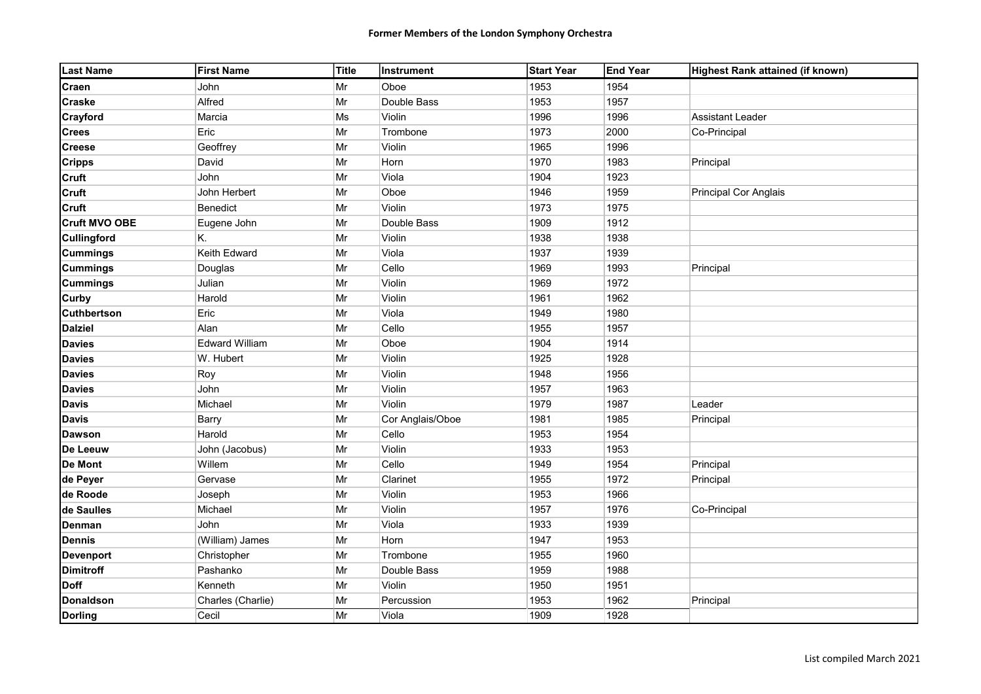| <b>Last Name</b>     | <b>First Name</b> | Title | Instrument       | <b>Start Year</b> | <b>End Year</b> | Highest Rank attained (if known) |
|----------------------|-------------------|-------|------------------|-------------------|-----------------|----------------------------------|
| Craen                | John              | Mr    | Oboe             | 1953              | 1954            |                                  |
| <b>Craske</b>        | Alfred            | Mr    | Double Bass      | 1953              | 1957            |                                  |
| Crayford             | Marcia            | Ms    | Violin           | 1996              | 1996            | Assistant Leader                 |
| <b>Crees</b>         | Eric              | Mr    | Trombone         | 1973              | 2000            | Co-Principal                     |
| <b>Creese</b>        | Geoffrey          | Mr    | Violin           | 1965              | 1996            |                                  |
| <b>Cripps</b>        | David             | Mr    | Horn             | 1970              | 1983            | Principal                        |
| <b>Cruft</b>         | John              | Mr    | Viola            | 1904              | 1923            |                                  |
| <b>Cruft</b>         | John Herbert      | Mr    | Oboe             | 1946              | 1959            | Principal Cor Anglais            |
| <b>Cruft</b>         | Benedict          | Mr    | Violin           | 1973              | 1975            |                                  |
| <b>Cruft MVO OBE</b> | Eugene John       | Mr    | Double Bass      | 1909              | 1912            |                                  |
| <b>Cullingford</b>   | Κ.                | Mr    | Violin           | 1938              | 1938            |                                  |
| <b>Cummings</b>      | Keith Edward      | Mr    | Viola            | 1937              | 1939            |                                  |
| <b>Cummings</b>      | Douglas           | Mr    | Cello            | 1969              | 1993            | Principal                        |
| <b>Cummings</b>      | Julian            | Mr    | Violin           | 1969              | 1972            |                                  |
| Curby                | Harold            | Mr    | Violin           | 1961              | 1962            |                                  |
| <b>Cuthbertson</b>   | Eric              | Mr    | Viola            | 1949              | 1980            |                                  |
| <b>Dalziel</b>       | Alan              | Mr    | Cello            | 1955              | 1957            |                                  |
| <b>Davies</b>        | Edward William    | Mr    | Oboe             | 1904              | 1914            |                                  |
| <b>Davies</b>        | W. Hubert         | Mr    | Violin           | 1925              | 1928            |                                  |
| <b>Davies</b>        | Roy               | Mr    | Violin           | 1948              | 1956            |                                  |
| <b>Davies</b>        | John              | Mr    | Violin           | 1957              | 1963            |                                  |
| <b>Davis</b>         | Michael           | Mr    | Violin           | 1979              | 1987            | Leader                           |
| <b>Davis</b>         | Barry             | Mr    | Cor Anglais/Oboe | 1981              | 1985            | Principal                        |
| <b>Dawson</b>        | Harold            | Mr    | Cello            | 1953              | 1954            |                                  |
| De Leeuw             | John (Jacobus)    | Mr    | Violin           | 1933              | 1953            |                                  |
| <b>De Mont</b>       | Willem            | Mr    | Cello            | 1949              | 1954            | Principal                        |
| de Peyer             | Gervase           | Mr    | Clarinet         | 1955              | 1972            | Principal                        |
| de Roode             | Joseph            | Mr    | Violin           | 1953              | 1966            |                                  |
| de Saulles           | Michael           | Mr    | Violin           | 1957              | 1976            | Co-Principal                     |
| <b>Denman</b>        | John              | Mr    | Viola            | 1933              | 1939            |                                  |
| <b>Dennis</b>        | (William) James   | Mr    | Horn             | 1947              | 1953            |                                  |
| <b>Devenport</b>     | Christopher       | Mr    | Trombone         | 1955              | 1960            |                                  |
| <b>Dimitroff</b>     | Pashanko          | Mr    | Double Bass      | 1959              | 1988            |                                  |
| <b>Doff</b>          | Kenneth           | Mr    | Violin           | 1950              | 1951            |                                  |
| Donaldson            | Charles (Charlie) | Mr    | Percussion       | 1953              | 1962            | Principal                        |
| <b>Dorling</b>       | Cecil             | Mr    | Viola            | 1909              | 1928            |                                  |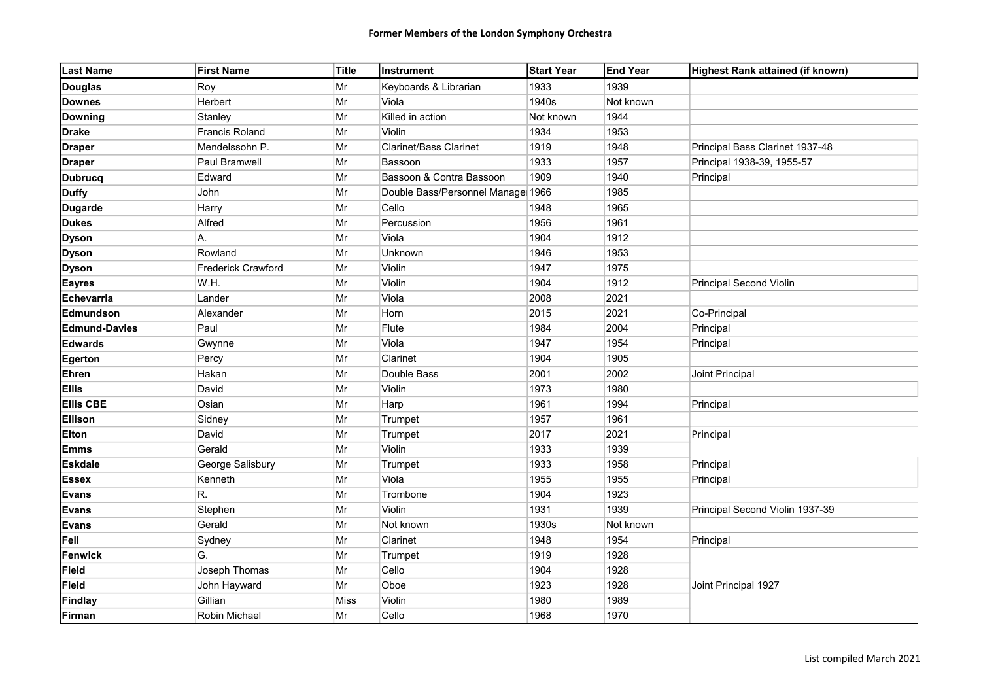| <b>Last Name</b>     | <b>First Name</b>         | Title       | Instrument                        | <b>Start Year</b> | <b>End Year</b> | Highest Rank attained (if known) |
|----------------------|---------------------------|-------------|-----------------------------------|-------------------|-----------------|----------------------------------|
| <b>Douglas</b>       | Roy                       | Mr          | Keyboards & Librarian             | 1933              | 1939            |                                  |
| <b>Downes</b>        | Herbert                   | Mr          | Viola                             | 1940s             | Not known       |                                  |
| <b>Downing</b>       | Stanley                   | Mr          | Killed in action                  | Not known         | 1944            |                                  |
| <b>Drake</b>         | <b>Francis Roland</b>     | Mr          | Violin                            | 1934              | 1953            |                                  |
| <b>Draper</b>        | Mendelssohn P.            | Mr          | <b>Clarinet/Bass Clarinet</b>     | 1919              | 1948            | Principal Bass Clarinet 1937-48  |
| <b>Draper</b>        | Paul Bramwell             | Mr          | Bassoon                           | 1933              | 1957            | Principal 1938-39, 1955-57       |
| <b>Dubrucq</b>       | Edward                    | Mr          | Bassoon & Contra Bassoon          | 1909              | 1940            | Principal                        |
| <b>Duffy</b>         | John                      | Mr          | Double Bass/Personnel Manage 1966 |                   | 1985            |                                  |
| <b>Dugarde</b>       | Harry                     | Mr          | Cello                             | 1948              | 1965            |                                  |
| <b>Dukes</b>         | Alfred                    | Mr          | Percussion                        | 1956              | 1961            |                                  |
| <b>Dyson</b>         | А.                        | Mr          | Viola                             | 1904              | 1912            |                                  |
| <b>Dyson</b>         | Rowland                   | Mr          | Unknown                           | 1946              | 1953            |                                  |
| <b>Dyson</b>         | <b>Frederick Crawford</b> | Mr          | Violin                            | 1947              | 1975            |                                  |
| <b>Eayres</b>        | W.H.                      | Mr          | Violin                            | 1904              | 1912            | <b>Principal Second Violin</b>   |
| Echevarria           | Lander                    | Mr          | Viola                             | 2008              | 2021            |                                  |
| Edmundson            | Alexander                 | Mr          | Horn                              | 2015              | 2021            | Co-Principal                     |
| <b>Edmund-Davies</b> | Paul                      | Mr          | Flute                             | 1984              | 2004            | Principal                        |
| <b>Edwards</b>       | Gwynne                    | Mr          | Viola                             | 1947              | 1954            | Principal                        |
| Egerton              | Percy                     | Mr          | Clarinet                          | 1904              | 1905            |                                  |
| Ehren                | Hakan                     | Mr          | Double Bass                       | 2001              | 2002            | Joint Principal                  |
| <b>Ellis</b>         | David                     | Mr          | Violin                            | 1973              | 1980            |                                  |
| <b>Ellis CBE</b>     | Osian                     | Mr          | Harp                              | 1961              | 1994            | Principal                        |
| Ellison              | Sidney                    | Mr          | Trumpet                           | 1957              | 1961            |                                  |
| <b>Elton</b>         | David                     | Mr          | Trumpet                           | 2017              | 2021            | Principal                        |
| <b>Emms</b>          | Gerald                    | $\vert$ Mr  | Violin                            | 1933              | 1939            |                                  |
| <b>Eskdale</b>       | George Salisbury          | Mr          | Trumpet                           | 1933              | 1958            | Principal                        |
| <b>Essex</b>         | Kenneth                   | Mr          | Viola                             | 1955              | 1955            | Principal                        |
| <b>Evans</b>         | R.                        | Mr          | Trombone                          | 1904              | 1923            |                                  |
| <b>Evans</b>         | Stephen                   | Mr          | Violin                            | 1931              | 1939            | Principal Second Violin 1937-39  |
| <b>Evans</b>         | Gerald                    | Mr          | Not known                         | 1930s             | Not known       |                                  |
| Fell                 | Sydney                    | Mr          | Clarinet                          | 1948              | 1954            | Principal                        |
| Fenwick              | G.                        | Mr          | Trumpet                           | 1919              | 1928            |                                  |
| Field                | Joseph Thomas             | Mr          | Cello                             | 1904              | 1928            |                                  |
| <b>Field</b>         | John Hayward              | Mr          | Oboe                              | 1923              | 1928            | Joint Principal 1927             |
| <b>Findlay</b>       | Gillian                   | <b>Miss</b> | Violin                            | 1980              | 1989            |                                  |
| Firman               | Robin Michael             | Mr          | Cello                             | 1968              | 1970            |                                  |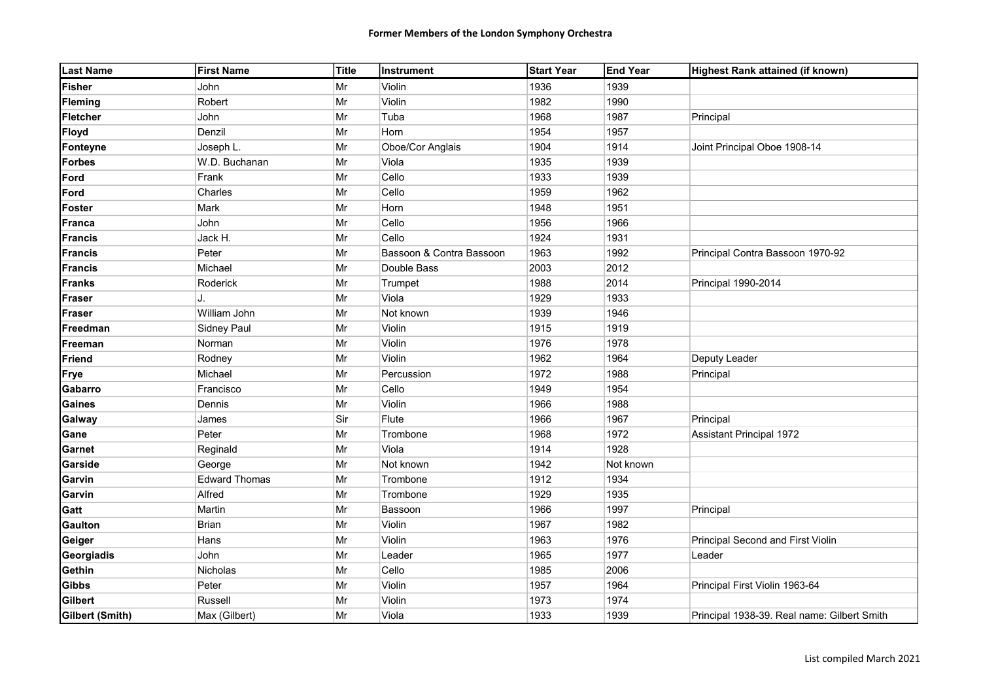| <b>Last Name</b>       | <b>First Name</b>    | Title | <b>Instrument</b>        | <b>Start Year</b> | <b>End Year</b> | Highest Rank attained (if known)            |
|------------------------|----------------------|-------|--------------------------|-------------------|-----------------|---------------------------------------------|
| <b>Fisher</b>          | <b>John</b>          | Mr    | Violin                   | 1936              | 1939            |                                             |
| <b>Fleming</b>         | Robert               | Mr    | Violin                   | 1982              | 1990            |                                             |
| <b>Fletcher</b>        | John                 | Mr    | Tuba                     | 1968              | 1987            | Principal                                   |
| <b>Floyd</b>           | Denzil               | Mr    | Horn                     | 1954              | 1957            |                                             |
| Fonteyne               | Joseph L.            | Mr    | Oboe/Cor Anglais         | 1904              | 1914            | Joint Principal Oboe 1908-14                |
| <b>Forbes</b>          | W.D. Buchanan        | Mr    | Viola                    | 1935              | 1939            |                                             |
| Ford                   | Frank                | Mr    | Cello                    | 1933              | 1939            |                                             |
| Ford                   | Charles              | Mr    | Cello                    | 1959              | 1962            |                                             |
| <b>Foster</b>          | Mark                 | Mr    | Horn                     | 1948              | 1951            |                                             |
| <b>Franca</b>          | John                 | Mr    | Cello                    | 1956              | 1966            |                                             |
| <b>Francis</b>         | Jack H.              | Mr    | Cello                    | 1924              | 1931            |                                             |
| <b>Francis</b>         | Peter                | Mr    | Bassoon & Contra Bassoon | 1963              | 1992            | Principal Contra Bassoon 1970-92            |
| <b>Francis</b>         | Michael              | Mr    | Double Bass              | 2003              | 2012            |                                             |
| <b>Franks</b>          | Roderick             | Mr    | Trumpet                  | 1988              | 2014            | Principal 1990-2014                         |
| <b>Fraser</b>          | J.                   | Mr    | Viola                    | 1929              | 1933            |                                             |
| <b>Fraser</b>          | William John         | Mr    | Not known                | 1939              | 1946            |                                             |
| Freedman               | Sidney Paul          | Mr    | Violin                   | 1915              | 1919            |                                             |
| Freeman                | Norman               | Mr    | Violin                   | 1976              | 1978            |                                             |
| Friend                 | Rodney               | Mr    | Violin                   | 1962              | 1964            | Deputy Leader                               |
| Frye                   | Michael              | Mr    | Percussion               | 1972              | 1988            | Principal                                   |
| Gabarro                | Francisco            | Mr    | Cello                    | 1949              | 1954            |                                             |
| <b>Gaines</b>          | Dennis               | Mr    | Violin                   | 1966              | 1988            |                                             |
| Galway                 | James                | Sir   | Flute                    | 1966              | 1967            | Principal                                   |
| Gane                   | Peter                | Mr    | Trombone                 | 1968              | 1972            | Assistant Principal 1972                    |
| Garnet                 | Reginald             | Mr    | Viola                    | 1914              | 1928            |                                             |
| Garside                | George               | Mr    | Not known                | 1942              | Not known       |                                             |
| Garvin                 | <b>Edward Thomas</b> | Mr    | Trombone                 | 1912              | 1934            |                                             |
| Garvin                 | Alfred               | Mr    | Trombone                 | 1929              | 1935            |                                             |
| Gatt                   | Martin               | Mr    | Bassoon                  | 1966              | 1997            | Principal                                   |
| <b>Gaulton</b>         | <b>Brian</b>         | Mr    | Violin                   | 1967              | 1982            |                                             |
| Geiger                 | Hans                 | Mr    | Violin                   | 1963              | 1976            | Principal Second and First Violin           |
| Georgiadis             | John                 | Mr    | Leader                   | 1965              | 1977            | Leader                                      |
| Gethin                 | Nicholas             | Mr    | Cello                    | 1985              | 2006            |                                             |
| <b>Gibbs</b>           | Peter                | Mr    | Violin                   | 1957              | 1964            | Principal First Violin 1963-64              |
| Gilbert                | Russell              | Mr    | Violin                   | 1973              | 1974            |                                             |
| <b>Gilbert (Smith)</b> | Max (Gilbert)        | Mr    | Viola                    | 1933              | 1939            | Principal 1938-39. Real name: Gilbert Smith |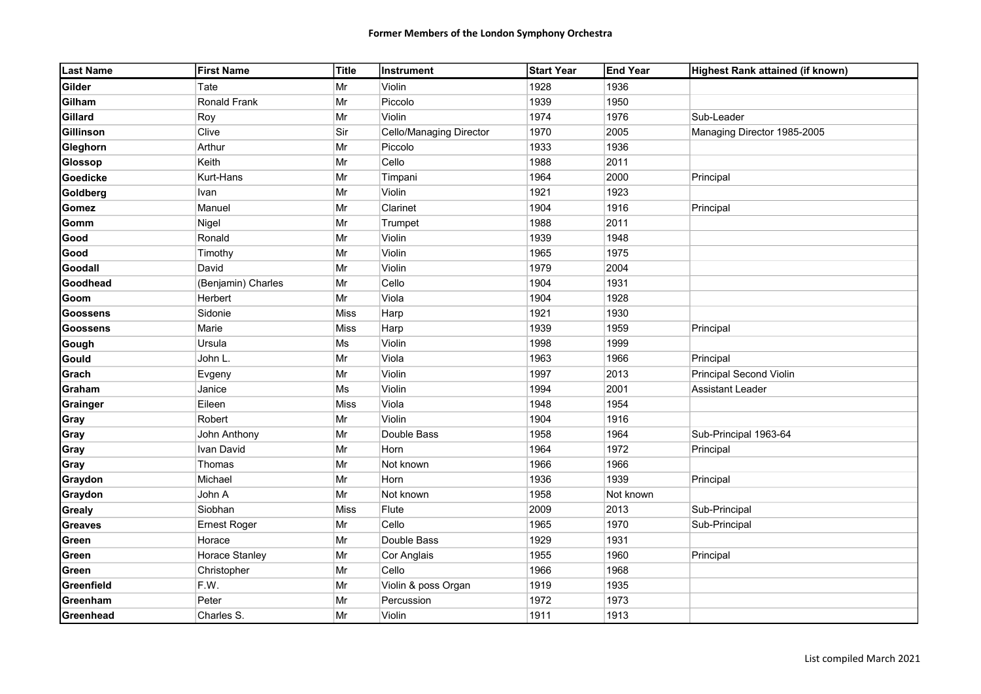| <b>Last Name</b> | <b>First Name</b>   | Title | Instrument              | <b>Start Year</b> | <b>End Year</b> | Highest Rank attained (if known) |
|------------------|---------------------|-------|-------------------------|-------------------|-----------------|----------------------------------|
| <b>Gilder</b>    | Tate                | Mr    | Violin                  | 1928              | 1936            |                                  |
| Gilham           | Ronald Frank        | Mr    | Piccolo                 | 1939              | 1950            |                                  |
| Gillard          | Roy                 | Mr    | Violin                  | 1974              | 1976            | Sub-Leader                       |
| Gillinson        | Clive               | Sir   | Cello/Managing Director | 1970              | 2005            | Managing Director 1985-2005      |
| Gleghorn         | Arthur              | Mr    | Piccolo                 | 1933              | 1936            |                                  |
| Glossop          | Keith               | Mr    | Cello                   | 1988              | 2011            |                                  |
| Goedicke         | Kurt-Hans           | Mr    | Timpani                 | 1964              | 2000            | Principal                        |
| Goldberg         | Ivan                | Mr    | Violin                  | 1921              | 1923            |                                  |
| <b>Gomez</b>     | Manuel              | Mr    | Clarinet                | 1904              | 1916            | Principal                        |
| Gomm             | Nigel               | Mr    | Trumpet                 | 1988              | 2011            |                                  |
| Good             | Ronald              | Mr    | Violin                  | 1939              | 1948            |                                  |
| Good             | Timothy             | Mr    | Violin                  | 1965              | 1975            |                                  |
| Goodall          | David               | Mr    | Violin                  | 1979              | 2004            |                                  |
| Goodhead         | (Benjamin) Charles  | Mr    | Cello                   | 1904              | 1931            |                                  |
| Goom             | Herbert             | Mr    | Viola                   | 1904              | 1928            |                                  |
| <b>Goossens</b>  | Sidonie             | Miss  | Harp                    | 1921              | 1930            |                                  |
| <b>Goossens</b>  | Marie               | Miss  | Harp                    | 1939              | 1959            | Principal                        |
| Gough            | Ursula              | Ms    | Violin                  | 1998              | 1999            |                                  |
| Gould            | John L.             | Mr    | Viola                   | 1963              | 1966            | Principal                        |
| Grach            | Evgeny              | Mr    | Violin                  | 1997              | 2013            | Principal Second Violin          |
| Graham           | Janice              | Ms    | Violin                  | 1994              | 2001            | <b>Assistant Leader</b>          |
| Grainger         | Eileen              | Miss  | Viola                   | 1948              | 1954            |                                  |
| Gray             | Robert              | Mr    | Violin                  | 1904              | 1916            |                                  |
| Gray             | John Anthony        | Mr    | Double Bass             | 1958              | 1964            | Sub-Principal 1963-64            |
| Gray             | Ivan David          | Mr    | Horn                    | 1964              | 1972            | Principal                        |
| Gray             | Thomas              | Mr    | Not known               | 1966              | 1966            |                                  |
| Graydon          | Michael             | Mr    | Horn                    | 1936              | 1939            | Principal                        |
| Graydon          | John A              | Mr    | Not known               | 1958              | Not known       |                                  |
| <b>Grealy</b>    | Siobhan             | Miss  | Flute                   | 2009              | 2013            | Sub-Principal                    |
| <b>Greaves</b>   | <b>Ernest Roger</b> | Mr    | Cello                   | 1965              | 1970            | Sub-Principal                    |
| Green            | Horace              | Mr    | Double Bass             | 1929              | 1931            |                                  |
| Green            | Horace Stanley      | Mr    | Cor Anglais             | 1955              | 1960            | Principal                        |
| Green            | Christopher         | Mr    | Cello                   | 1966              | 1968            |                                  |
| Greenfield       | F.W.                | Mr    | Violin & poss Organ     | 1919              | 1935            |                                  |
| Greenham         | Peter               | Mr    | Percussion              | 1972              | 1973            |                                  |
| Greenhead        | Charles S.          | Mr    | Violin                  | 1911              | 1913            |                                  |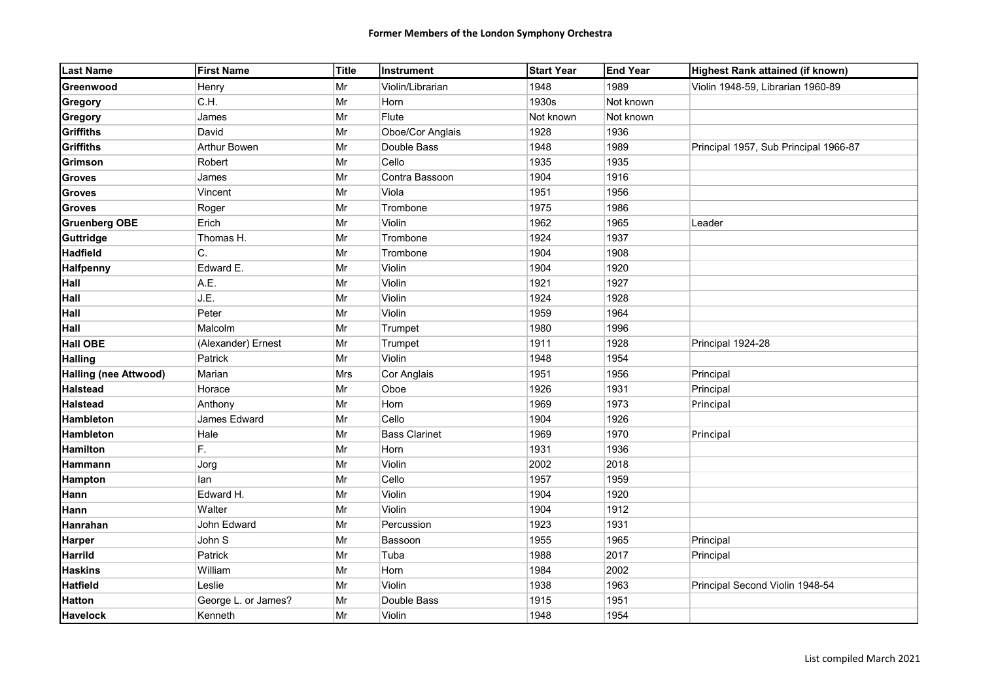| <b>Last Name</b>             | <b>First Name</b>   | Title | <b>Instrument</b>    | <b>Start Year</b> | <b>End Year</b> | Highest Rank attained (if known)      |
|------------------------------|---------------------|-------|----------------------|-------------------|-----------------|---------------------------------------|
| Greenwood                    | Henry               | Mr    | Violin/Librarian     | 1948              | 1989            | Violin 1948-59, Librarian 1960-89     |
| Gregory                      | C.H.                | Mr    | Horn                 | 1930s             | Not known       |                                       |
| Gregory                      | James               | Mr    | Flute                | Not known         | Not known       |                                       |
| <b>Griffiths</b>             | David               | Mr    | Oboe/Cor Anglais     | 1928              | 1936            |                                       |
| <b>Griffiths</b>             | <b>Arthur Bowen</b> | Mr    | Double Bass          | 1948              | 1989            | Principal 1957, Sub Principal 1966-87 |
| Grimson                      | Robert              | Mr    | Cello                | 1935              | 1935            |                                       |
| <b>Groves</b>                | James               | Mr    | Contra Bassoon       | 1904              | 1916            |                                       |
| <b>Groves</b>                | Vincent             | Mr    | Viola                | 1951              | 1956            |                                       |
| <b>Groves</b>                | Roger               | Mr    | Trombone             | 1975              | 1986            |                                       |
| <b>Gruenberg OBE</b>         | Erich               | Mr    | Violin               | 1962              | 1965            | Leader                                |
| Guttridge                    | Thomas H.           | Mr    | Trombone             | 1924              | 1937            |                                       |
| <b>Hadfield</b>              | C.                  | Mr    | Trombone             | 1904              | 1908            |                                       |
| <b>Halfpenny</b>             | Edward E.           | Mr    | <b>Violin</b>        | 1904              | 1920            |                                       |
| Hall                         | A.E.                | Mr    | Violin               | 1921              | 1927            |                                       |
| Hall                         | J.E.                | Mr    | Violin               | 1924              | 1928            |                                       |
| Hall                         | Peter               | Mr    | Violin               | 1959              | 1964            |                                       |
| Hall                         | Malcolm             | Mr    | Trumpet              | 1980              | 1996            |                                       |
| <b>Hall OBE</b>              | (Alexander) Ernest  | Mr    | Trumpet              | 1911              | 1928            | Principal 1924-28                     |
| <b>Halling</b>               | Patrick             | Mr    | Violin               | 1948              | 1954            |                                       |
| <b>Halling (nee Attwood)</b> | Marian              | Mrs   | Cor Anglais          | 1951              | 1956            | Principal                             |
| <b>Halstead</b>              | Horace              | Mr    | Oboe                 | 1926              | 1931            | Principal                             |
| <b>Halstead</b>              | Anthony             | Mr    | Horn                 | 1969              | 1973            | Principal                             |
| Hambleton                    | James Edward        | Mr    | Cello                | 1904              | 1926            |                                       |
| Hambleton                    | Hale                | Mr    | <b>Bass Clarinet</b> | 1969              | 1970            | Principal                             |
| <b>Hamilton</b>              | F.                  | Mr    | Horn                 | 1931              | 1936            |                                       |
| Hammann                      | Jorg                | Mr    | Violin               | 2002              | 2018            |                                       |
| <b>Hampton</b>               | lan                 | Mr    | Cello                | 1957              | 1959            |                                       |
| Hann                         | Edward H.           | Mr    | Violin               | 1904              | 1920            |                                       |
| Hann                         | Walter              | Mr    | Violin               | 1904              | 1912            |                                       |
| Hanrahan                     | John Edward         | Mr    | Percussion           | 1923              | 1931            |                                       |
| <b>Harper</b>                | John S              | Mr    | Bassoon              | 1955              | 1965            | Principal                             |
| <b>Harrild</b>               | Patrick             | Mr    | Tuba                 | 1988              | 2017            | Principal                             |
| <b>Haskins</b>               | William             | Mr    | Horn                 | 1984              | 2002            |                                       |
| <b>Hatfield</b>              | Leslie              | Mr    | Violin               | 1938              | 1963            | Principal Second Violin 1948-54       |
| <b>Hatton</b>                | George L. or James? | Mr    | Double Bass          | 1915              | 1951            |                                       |
| <b>Havelock</b>              | Kenneth             | Mr    | Violin               | 1948              | 1954            |                                       |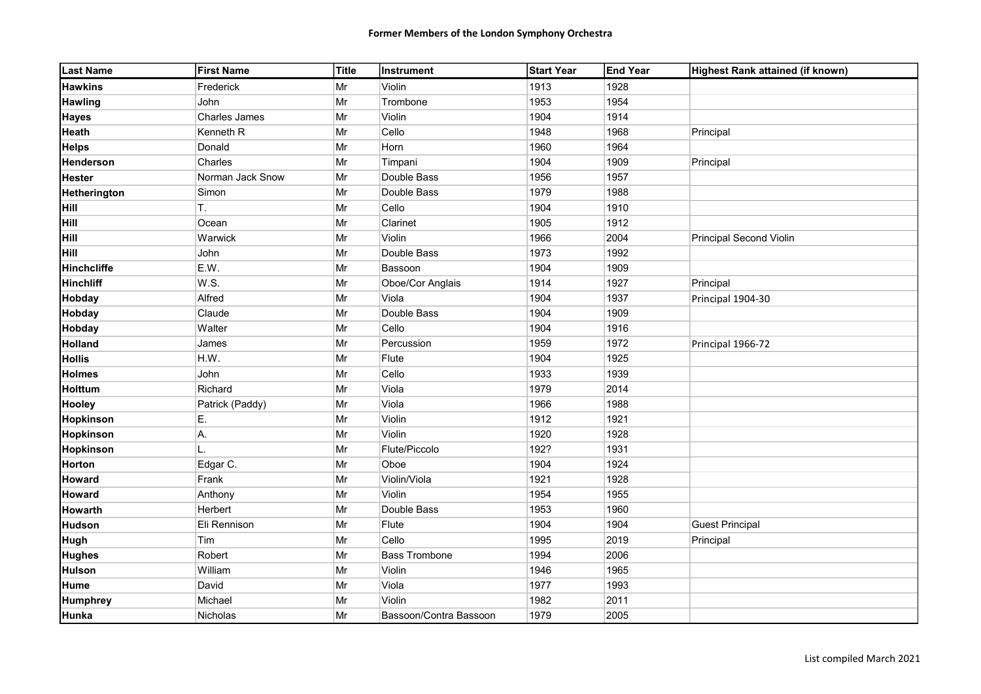| <b>Last Name</b>   | <b>First Name</b>    | <b>Title</b> | Instrument             | <b>Start Year</b> | <b>End Year</b> | Highest Rank attained (if known) |
|--------------------|----------------------|--------------|------------------------|-------------------|-----------------|----------------------------------|
| <b>Hawkins</b>     | Frederick            | Mr           | Violin                 | 1913              | 1928            |                                  |
| <b>Hawling</b>     | John                 | Mr           | Trombone               | 1953              | 1954            |                                  |
| <b>Hayes</b>       | <b>Charles James</b> | Mr           | Violin                 | 1904              | 1914            |                                  |
| <b>Heath</b>       | Kenneth R            | Mr           | Cello                  | 1948              | 1968            | Principal                        |
| <b>Helps</b>       | Donald               | Mr           | Horn                   | 1960              | 1964            |                                  |
| Henderson          | Charles              | Mr           | Timpani                | 1904              | 1909            | Principal                        |
| <b>Hester</b>      | Norman Jack Snow     | Mr           | Double Bass            | 1956              | 1957            |                                  |
| Hetherington       | Simon                | Mr           | Double Bass            | 1979              | 1988            |                                  |
| <b>Hill</b>        | Τ.                   | Mr           | Cello                  | 1904              | 1910            |                                  |
| <b>Hill</b>        | Ocean                | Mr           | Clarinet               | 1905              | 1912            |                                  |
| Hill               | Warwick              | Mr           | Violin                 | 1966              | 2004            | <b>Principal Second Violin</b>   |
| Hill               | John                 | Mr           | Double Bass            | 1973              | 1992            |                                  |
| <b>Hinchcliffe</b> | E.W.                 | Mr           | Bassoon                | 1904              | 1909            |                                  |
| <b>Hinchliff</b>   | W.S.                 | Mr           | Oboe/Cor Anglais       | 1914              | 1927            | Principal                        |
| <b>Hobday</b>      | Alfred               | Mr           | Viola                  | 1904              | 1937            | Principal 1904-30                |
| <b>Hobday</b>      | Claude               | Mr           | Double Bass            | 1904              | 1909            |                                  |
| <b>Hobday</b>      | Walter               | Mr           | Cello                  | 1904              | 1916            |                                  |
| <b>Holland</b>     | James                | Mr           | Percussion             | 1959              | 1972            | Principal 1966-72                |
| <b>Hollis</b>      | H.W.                 | Mr           | Flute                  | 1904              | 1925            |                                  |
| <b>Holmes</b>      | John                 | Mr           | Cello                  | 1933              | 1939            |                                  |
| Holttum            | Richard              | Mr           | Viola                  | 1979              | 2014            |                                  |
| <b>Hooley</b>      | Patrick (Paddy)      | Mr           | Viola                  | 1966              | 1988            |                                  |
| Hopkinson          | E.                   | Mr           | Violin                 | 1912              | 1921            |                                  |
| Hopkinson          | А.                   | Mr           | Violin                 | 1920              | 1928            |                                  |
| Hopkinson          | L.                   | Mr           | Flute/Piccolo          | 192?              | 1931            |                                  |
| <b>Horton</b>      | Edgar C.             | Mr           | Oboe                   | 1904              | 1924            |                                  |
| <b>Howard</b>      | Frank                | Mr           | Violin/Viola           | 1921              | 1928            |                                  |
| <b>Howard</b>      | Anthony              | Mr           | Violin                 | 1954              | 1955            |                                  |
| <b>Howarth</b>     | Herbert              | Mr           | Double Bass            | 1953              | 1960            |                                  |
| <b>Hudson</b>      | Eli Rennison         | Mr           | Flute                  | 1904              | 1904            | <b>Guest Principal</b>           |
| <b>Hugh</b>        | Tim                  | Mr           | Cello                  | 1995              | 2019            | Principal                        |
| <b>Hughes</b>      | Robert               | Mr           | <b>Bass Trombone</b>   | 1994              | 2006            |                                  |
| <b>Hulson</b>      | William              | Mr           | Violin                 | 1946              | 1965            |                                  |
| <b>Hume</b>        | David                | Mr           | Viola                  | 1977              | 1993            |                                  |
| <b>Humphrey</b>    | Michael              | Mr           | Violin                 | 1982              | 2011            |                                  |
| Hunka              | Nicholas             | Mr           | Bassoon/Contra Bassoon | 1979              | 2005            |                                  |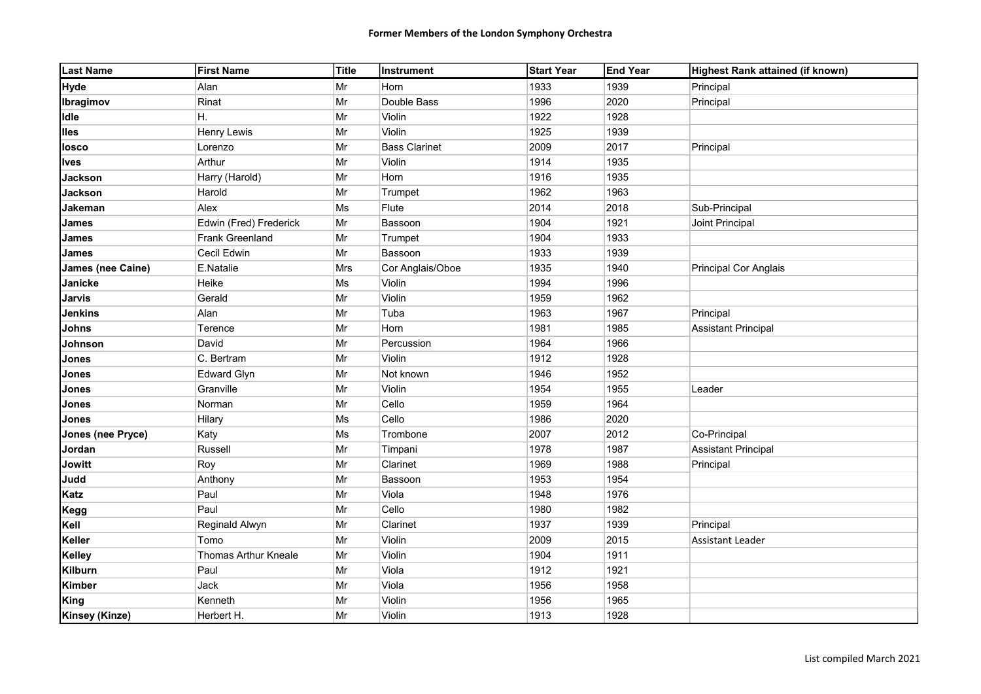| <b>Last Name</b>         | <b>First Name</b>           | <b>Title</b> | Instrument           | <b>Start Year</b> | <b>End Year</b> | Highest Rank attained (if known) |
|--------------------------|-----------------------------|--------------|----------------------|-------------------|-----------------|----------------------------------|
| Hyde                     | Alan                        | Mr           | Horn                 | 1933              | 1939            | Principal                        |
| Ibragimov                | Rinat                       | Mr           | Double Bass          | 1996              | 2020            | Principal                        |
| Idle                     | Η.                          | Mr           | Violin               | 1922              | 1928            |                                  |
| <b>Iles</b>              | <b>Henry Lewis</b>          | Mr           | Violin               | 1925              | 1939            |                                  |
| losco                    | Lorenzo                     | Mr           | <b>Bass Clarinet</b> | 2009              | 2017            | Principal                        |
| Ives                     | Arthur                      | Mr           | Violin               | 1914              | 1935            |                                  |
| <b>Jackson</b>           | Harry (Harold)              | Mr           | Horn                 | 1916              | 1935            |                                  |
| <b>Jackson</b>           | Harold                      | Mr           | Trumpet              | 1962              | 1963            |                                  |
| Jakeman                  | Alex                        | Ms           | Flute                | 2014              | 2018            | Sub-Principal                    |
| <b>James</b>             | Edwin (Fred) Frederick      | $\vert$ Mr   | Bassoon              | 1904              | 1921            | Joint Principal                  |
| <b>James</b>             | Frank Greenland             | Mr           | Trumpet              | 1904              | 1933            |                                  |
| <b>James</b>             | Cecil Edwin                 | Mr           | Bassoon              | 1933              | 1939            |                                  |
| <b>James (nee Caine)</b> | E.Natalie                   | Mrs          | Cor Anglais/Oboe     | 1935              | 1940            | <b>Principal Cor Anglais</b>     |
| Janicke                  | Heike                       | Ms           | Violin               | 1994              | 1996            |                                  |
| <b>Jarvis</b>            | Gerald                      | Mr           | Violin               | 1959              | 1962            |                                  |
| <b>Jenkins</b>           | Alan                        | Mr           | Tuba                 | 1963              | 1967            | Principal                        |
| <b>Johns</b>             | Terence                     | Mr           | Horn                 | 1981              | 1985            | <b>Assistant Principal</b>       |
| Johnson                  | David                       | Mr           | Percussion           | 1964              | 1966            |                                  |
| <b>Jones</b>             | C. Bertram                  | Mr           | Violin               | 1912              | 1928            |                                  |
| <b>Jones</b>             | <b>Edward Glyn</b>          | Mr           | Not known            | 1946              | 1952            |                                  |
| <b>Jones</b>             | Granville                   | Mr           | Violin               | 1954              | 1955            | Leader                           |
| <b>Jones</b>             | Norman                      | Mr           | Cello                | 1959              | 1964            |                                  |
| <b>Jones</b>             | Hilary                      | Ms           | Cello                | 1986              | 2020            |                                  |
| <b>Jones (nee Pryce)</b> | Katy                        | Ms           | Trombone             | 2007              | 2012            | Co-Principal                     |
| Jordan                   | Russell                     | Mr           | Timpani              | 1978              | 1987            | <b>Assistant Principal</b>       |
| <b>Jowitt</b>            | Roy                         | Mr           | Clarinet             | 1969              | 1988            | Principal                        |
| Judd                     | Anthony                     | Mr           | Bassoon              | 1953              | 1954            |                                  |
| Katz                     | Paul                        | Mr           | Viola                | 1948              | 1976            |                                  |
| Kegg                     | Paul                        | Mr           | Cello                | 1980              | 1982            |                                  |
| Kell                     | Reginald Alwyn              | Mr           | Clarinet             | 1937              | 1939            | Principal                        |
| <b>Keller</b>            | Tomo                        | Mr           | Violin               | 2009              | 2015            | <b>Assistant Leader</b>          |
| <b>Kelley</b>            | <b>Thomas Arthur Kneale</b> | Mr           | Violin               | 1904              | 1911            |                                  |
| <b>Kilburn</b>           | Paul                        | Mr           | Viola                | 1912              | 1921            |                                  |
| Kimber                   | Jack                        | Mr           | Viola                | 1956              | 1958            |                                  |
| <b>King</b>              | Kenneth                     | Mr           | Violin               | 1956              | 1965            |                                  |
| <b>Kinsey (Kinze)</b>    | Herbert H.                  | Mr           | Violin               | 1913              | 1928            |                                  |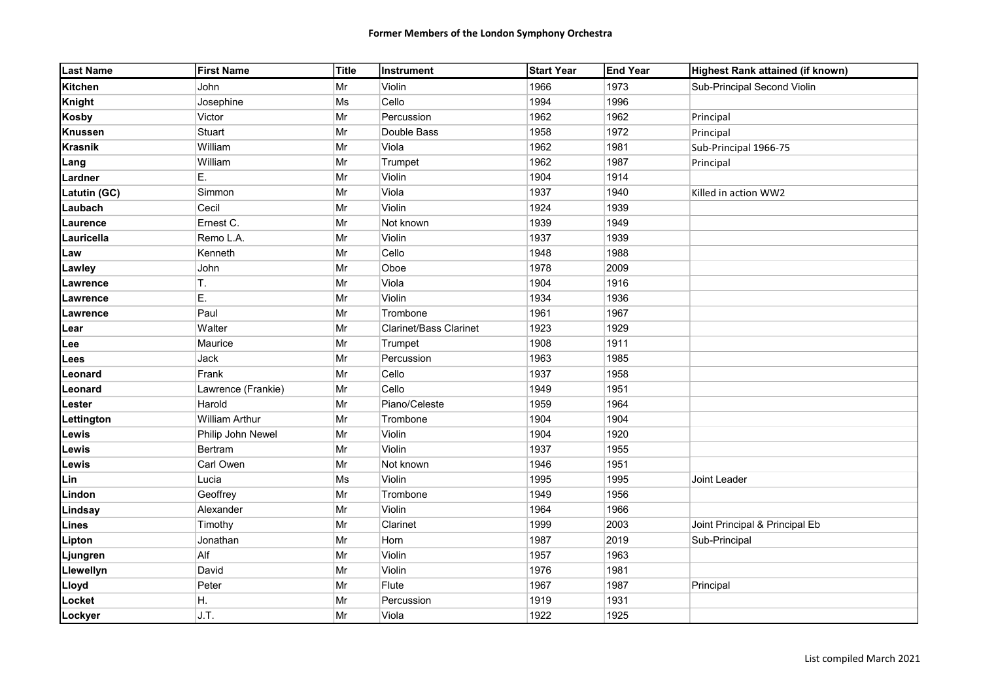| <b>Last Name</b> | <b>First Name</b>     | Title | Instrument                    | <b>Start Year</b> | <b>End Year</b> | Highest Rank attained (if known) |
|------------------|-----------------------|-------|-------------------------------|-------------------|-----------------|----------------------------------|
| <b>Kitchen</b>   | John                  | Mr    | Violin                        | 1966              | 1973            | Sub-Principal Second Violin      |
| Knight           | Josephine             | Ms    | Cello                         | 1994              | 1996            |                                  |
| <b>Kosby</b>     | Victor                | Mr    | Percussion                    | 1962              | 1962            | Principal                        |
| <b>Knussen</b>   | Stuart                | Mr    | Double Bass                   | 1958              | 1972            | Principal                        |
| <b>Krasnik</b>   | William               | Mr    | Viola                         | 1962              | 1981            | Sub-Principal 1966-75            |
| Lang             | William               | Mr    | Trumpet                       | 1962              | 1987            | Principal                        |
| Lardner          | E.                    | Mr    | Violin                        | 1904              | 1914            |                                  |
| Latutin (GC)     | Simmon                | Mr    | Viola                         | 1937              | 1940            | Killed in action WW2             |
| Laubach          | Cecil                 | Mr    | Violin                        | 1924              | 1939            |                                  |
| Laurence         | Ernest C.             | Mr    | Not known                     | 1939              | 1949            |                                  |
| Lauricella       | Remo L.A.             | Mr    | Violin                        | 1937              | 1939            |                                  |
| Law              | Kenneth               | Mr    | Cello                         | 1948              | 1988            |                                  |
| Lawley           | John                  | Mr    | Oboe                          | 1978              | 2009            |                                  |
| Lawrence         | T.                    | Mr    | Viola                         | 1904              | 1916            |                                  |
| Lawrence         | E.                    | Mr    | Violin                        | 1934              | 1936            |                                  |
| Lawrence         | Paul                  | Mr    | Trombone                      | 1961              | 1967            |                                  |
| Lear             | Walter                | Mr    | <b>Clarinet/Bass Clarinet</b> | 1923              | 1929            |                                  |
| Lee              | Maurice               | Mr    | Trumpet                       | 1908              | 1911            |                                  |
| Lees             | Jack                  | Mr    | Percussion                    | 1963              | 1985            |                                  |
| Leonard          | Frank                 | Mr    | Cello                         | 1937              | 1958            |                                  |
| Leonard          | Lawrence (Frankie)    | Mr    | Cello                         | 1949              | 1951            |                                  |
| Lester           | Harold                | Mr    | Piano/Celeste                 | 1959              | 1964            |                                  |
| Lettington       | <b>William Arthur</b> | Mr    | Trombone                      | 1904              | 1904            |                                  |
| Lewis            | Philip John Newel     | Mr    | Violin                        | 1904              | 1920            |                                  |
| Lewis            | <b>Bertram</b>        | Mr    | Violin                        | 1937              | 1955            |                                  |
| Lewis            | Carl Owen             | Mr    | Not known                     | 1946              | 1951            |                                  |
| Lin              | Lucia                 | Ms    | Violin                        | 1995              | 1995            | Joint Leader                     |
| Lindon           | Geoffrey              | Mr    | Trombone                      | 1949              | 1956            |                                  |
| Lindsay          | Alexander             | Mr    | Violin                        | 1964              | 1966            |                                  |
| Lines            | Timothy               | Mr    | Clarinet                      | 1999              | 2003            | Joint Principal & Principal Eb   |
| Lipton           | Jonathan              | Mr    | Horn                          | 1987              | 2019            | Sub-Principal                    |
| Ljungren         | Alf                   | Mr    | Violin                        | 1957              | 1963            |                                  |
| Llewellyn        | David                 | Mr    | Violin                        | 1976              | 1981            |                                  |
| Lloyd            | Peter                 | Mr    | Flute                         | 1967              | 1987            | Principal                        |
| Locket           | H.                    | Mr    | Percussion                    | 1919              | 1931            |                                  |
| Lockyer          | J.T.                  | Mr    | Viola                         | 1922              | 1925            |                                  |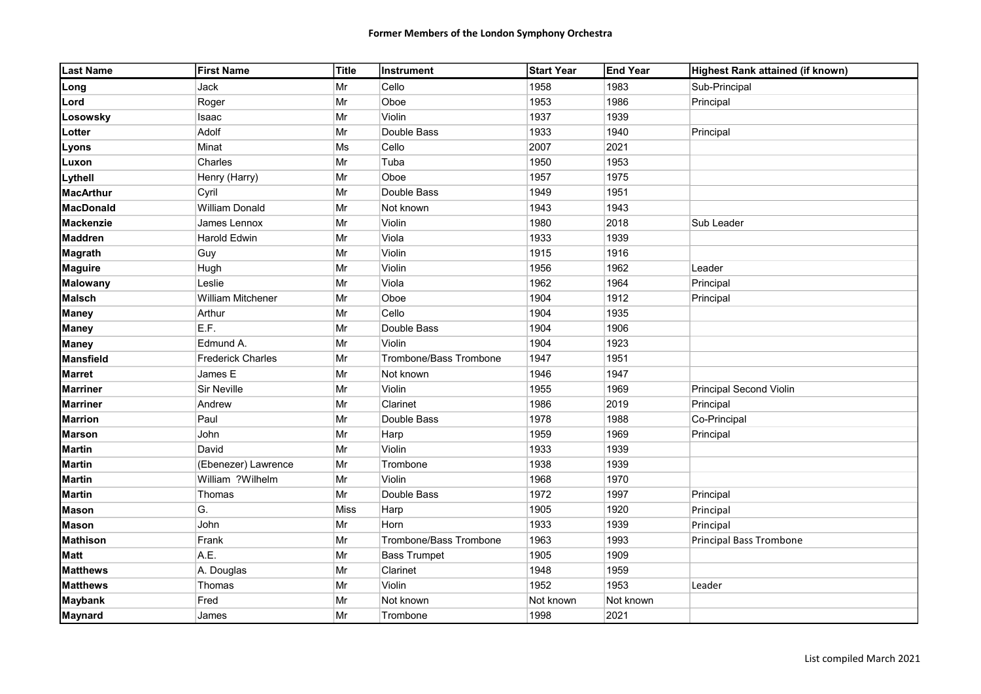| <b>Last Name</b> | <b>First Name</b>        | Title | Instrument             | <b>Start Year</b> | <b>End Year</b> | Highest Rank attained (if known) |
|------------------|--------------------------|-------|------------------------|-------------------|-----------------|----------------------------------|
| Long             | Jack                     | Mr    | Cello                  | 1958              | 1983            | Sub-Principal                    |
| Lord             | Roger                    | Mr    | Oboe                   | 1953              | 1986            | Principal                        |
| Losowsky         | Isaac                    | Mr    | Violin                 | 1937              | 1939            |                                  |
| Lotter           | Adolf                    | Mr    | Double Bass            | 1933              | 1940            | Principal                        |
| Lyons            | Minat                    | Ms    | Cello                  | 2007              | 2021            |                                  |
| Luxon            | Charles                  | Mr    | Tuba                   | 1950              | 1953            |                                  |
| Lythell          | Henry (Harry)            | Mr    | Oboe                   | 1957              | 1975            |                                  |
| <b>MacArthur</b> | Cyril                    | Mr    | Double Bass            | 1949              | 1951            |                                  |
| <b>MacDonald</b> | <b>William Donald</b>    | Mr    | Not known              | 1943              | 1943            |                                  |
| <b>Mackenzie</b> | James Lennox             | Mr    | Violin                 | 1980              | 2018            | Sub Leader                       |
| <b>Maddren</b>   | <b>Harold Edwin</b>      | Mr    | Viola                  | 1933              | 1939            |                                  |
| <b>Magrath</b>   | Guy                      | Mr    | Violin                 | 1915              | 1916            |                                  |
| <b>Maguire</b>   | Hugh                     | Mr    | Violin                 | 1956              | 1962            | Leader                           |
| <b>Malowany</b>  | Leslie                   | Mr    | Viola                  | 1962              | 1964            | Principal                        |
| <b>Malsch</b>    | William Mitchener        | Mr    | Oboe                   | 1904              | 1912            | Principal                        |
| <b>Maney</b>     | Arthur                   | Mr    | Cello                  | 1904              | 1935            |                                  |
| <b>Maney</b>     | E.F.                     | Mr    | Double Bass            | 1904              | 1906            |                                  |
| <b>Maney</b>     | Edmund A.                | Mr    | Violin                 | 1904              | 1923            |                                  |
| <b>Mansfield</b> | <b>Frederick Charles</b> | Mr    | Trombone/Bass Trombone | 1947              | 1951            |                                  |
| <b>Marret</b>    | James E                  | Mr    | Not known              | 1946              | 1947            |                                  |
| <b>Marriner</b>  | <b>Sir Neville</b>       | Mr    | Violin                 | 1955              | 1969            | <b>Principal Second Violin</b>   |
| <b>Marriner</b>  | Andrew                   | Mr    | Clarinet               | 1986              | 2019            | Principal                        |
| <b>Marrion</b>   | Paul                     | Mr    | Double Bass            | 1978              | 1988            | Co-Principal                     |
| <b>Marson</b>    | John                     | Mr    | Harp                   | 1959              | 1969            | Principal                        |
| <b>Martin</b>    | David                    | Mr    | Violin                 | 1933              | 1939            |                                  |
| <b>Martin</b>    | (Ebenezer) Lawrence      | Mr    | Trombone               | 1938              | 1939            |                                  |
| <b>Martin</b>    | William ?Wilhelm         | Mr    | Violin                 | 1968              | 1970            |                                  |
| <b>Martin</b>    | Thomas                   | Mr    | Double Bass            | 1972              | 1997            | Principal                        |
| <b>Mason</b>     | G.                       | Miss  | Harp                   | 1905              | 1920            | Principal                        |
| <b>Mason</b>     | John                     | Mr    | Horn                   | 1933              | 1939            | Principal                        |
| <b>Mathison</b>  | Frank                    | Mr    | Trombone/Bass Trombone | 1963              | 1993            | Principal Bass Trombone          |
| <b>Matt</b>      | A.E.                     | Mr    | <b>Bass Trumpet</b>    | 1905              | 1909            |                                  |
| <b>Matthews</b>  | A. Douglas               | Mr    | Clarinet               | 1948              | 1959            |                                  |
| <b>Matthews</b>  | Thomas                   | Mr    | Violin                 | 1952              | 1953            | Leader                           |
| <b>Maybank</b>   | Fred                     | Mr    | Not known              | Not known         | Not known       |                                  |
| <b>Maynard</b>   | James                    | Mr    | Trombone               | 1998              | 2021            |                                  |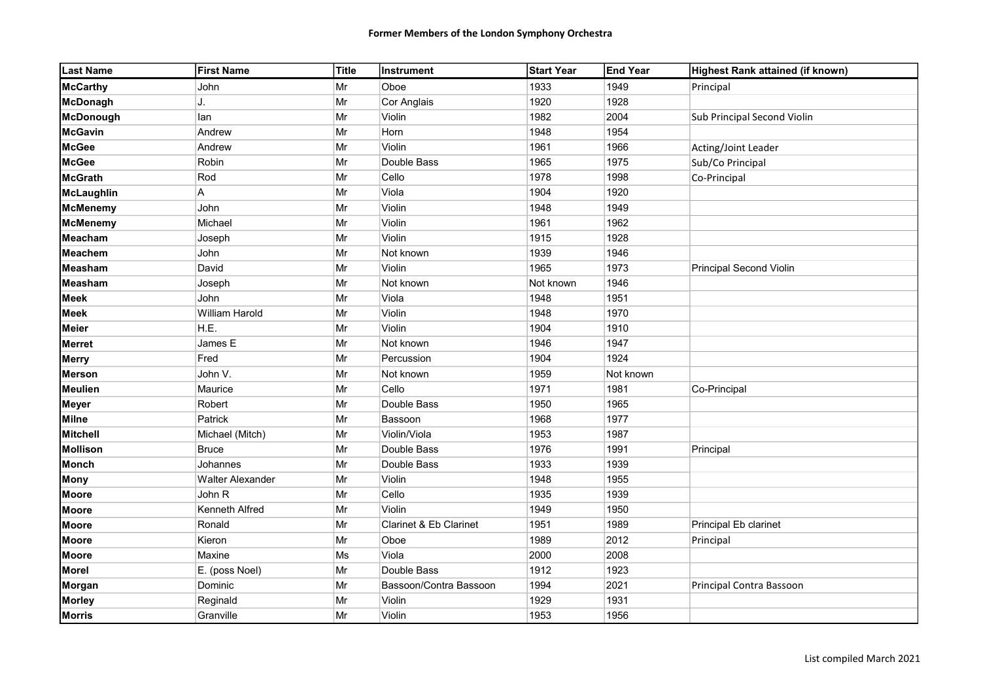| <b>Last Name</b>  | <b>First Name</b>       | Title      | Instrument             | <b>Start Year</b> | <b>End Year</b> | Highest Rank attained (if known) |
|-------------------|-------------------------|------------|------------------------|-------------------|-----------------|----------------------------------|
| <b>McCarthy</b>   | John                    | Mr         | Oboe                   | 1933              | 1949            | Principal                        |
| <b>McDonagh</b>   | J.                      | Mr         | Cor Anglais            | 1920              | 1928            |                                  |
| <b>McDonough</b>  | lan                     | Mr         | Violin                 | 1982              | 2004            | Sub Principal Second Violin      |
| <b>McGavin</b>    | Andrew                  | Mr         | Horn                   | 1948              | 1954            |                                  |
| <b>McGee</b>      | Andrew                  | Mr         | Violin                 | 1961              | 1966            | Acting/Joint Leader              |
| <b>McGee</b>      | Robin                   | $\vert$ Mr | Double Bass            | 1965              | 1975            | Sub/Co Principal                 |
| <b>McGrath</b>    | Rod                     | Mr         | Cello                  | 1978              | 1998            | Co-Principal                     |
| <b>McLaughlin</b> | А                       | Mr         | Viola                  | 1904              | 1920            |                                  |
| <b>McMenemy</b>   | John                    | Mr         | Violin                 | 1948              | 1949            |                                  |
| <b>McMenemy</b>   | Michael                 | Mr         | Violin                 | 1961              | 1962            |                                  |
| Meacham           | Joseph                  | Mr         | Violin                 | 1915              | 1928            |                                  |
| <b>Meachem</b>    | John                    | $\vert$ Mr | Not known              | 1939              | 1946            |                                  |
| <b>Measham</b>    | David                   | Mr         | Violin                 | 1965              | 1973            | Principal Second Violin          |
| <b>Measham</b>    | Joseph                  | Mr         | Not known              | Not known         | 1946            |                                  |
| <b>Meek</b>       | John                    | $\vert$ Mr | Viola                  | 1948              | 1951            |                                  |
| <b>Meek</b>       | William Harold          | Mr         | Violin                 | 1948              | 1970            |                                  |
| <b>Meier</b>      | H.E.                    | Mr         | Violin                 | 1904              | 1910            |                                  |
| <b>Merret</b>     | James E                 | Mr         | Not known              | 1946              | 1947            |                                  |
| <b>Merry</b>      | Fred                    | Mr         | Percussion             | 1904              | 1924            |                                  |
| <b>Merson</b>     | John V.                 | Mr         | Not known              | 1959              | Not known       |                                  |
| <b>Meulien</b>    | Maurice                 | Mr         | Cello                  | 1971              | 1981            | Co-Principal                     |
| <b>Meyer</b>      | Robert                  | Mr         | Double Bass            | 1950              | 1965            |                                  |
| <b>Milne</b>      | Patrick                 | $\vert$ Mr | Bassoon                | 1968              | 1977            |                                  |
| <b>Mitchell</b>   | Michael (Mitch)         | Mr         | Violin/Viola           | 1953              | 1987            |                                  |
| <b>Mollison</b>   | <b>Bruce</b>            | Mr         | Double Bass            | 1976              | 1991            | Principal                        |
| <b>Monch</b>      | Johannes                | Mr         | Double Bass            | 1933              | 1939            |                                  |
| <b>Mony</b>       | <b>Walter Alexander</b> | Mr         | Violin                 | 1948              | 1955            |                                  |
| <b>Moore</b>      | John R                  | Mr         | Cello                  | 1935              | 1939            |                                  |
| <b>Moore</b>      | Kenneth Alfred          | $\vert$ Mr | Violin                 | 1949              | 1950            |                                  |
| <b>Moore</b>      | Ronald                  | Mr         | Clarinet & Eb Clarinet | 1951              | 1989            | Principal Eb clarinet            |
| <b>Moore</b>      | Kieron                  | Mr         | Oboe                   | 1989              | 2012            | Principal                        |
| <b>Moore</b>      | Maxine                  | Ms         | Viola                  | 2000              | 2008            |                                  |
| <b>Morel</b>      | E. (poss Noel)          | Mr         | Double Bass            | 1912              | 1923            |                                  |
| <b>Morgan</b>     | Dominic                 | Mr         | Bassoon/Contra Bassoon | 1994              | 2021            | Principal Contra Bassoon         |
| <b>Morley</b>     | Reginald                | Mr         | Violin                 | 1929              | 1931            |                                  |
| <b>Morris</b>     | Granville               | Mr         | Violin                 | 1953              | 1956            |                                  |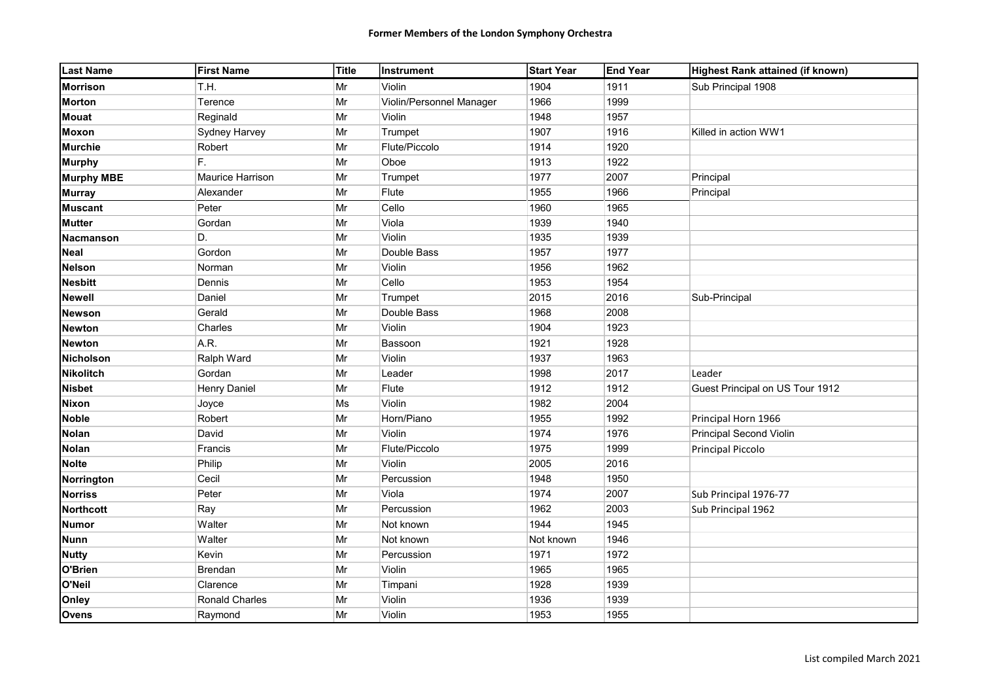| <b>Last Name</b>  | <b>First Name</b>     | Title      | Instrument               | <b>Start Year</b> | End Year | Highest Rank attained (if known) |
|-------------------|-----------------------|------------|--------------------------|-------------------|----------|----------------------------------|
| <b>Morrison</b>   | T.H.                  | Mr         | Violin                   | 1904              | 1911     | Sub Principal 1908               |
| <b>Morton</b>     | Terence               | Mr         | Violin/Personnel Manager | 1966              | 1999     |                                  |
| <b>Mouat</b>      | Reginald              | Mr         | Violin                   | 1948              | 1957     |                                  |
| <b>Moxon</b>      | Sydney Harvey         | Mr         | Trumpet                  | 1907              | 1916     | Killed in action WW1             |
| <b>Murchie</b>    | Robert                | Mr         | Flute/Piccolo            | 1914              | 1920     |                                  |
| <b>Murphy</b>     | F.                    | Mr         | Oboe                     | 1913              | 1922     |                                  |
| <b>Murphy MBE</b> | Maurice Harrison      | Mr         | Trumpet                  | 1977              | 2007     | Principal                        |
| <b>Murray</b>     | Alexander             | Mr         | Flute                    | 1955              | 1966     | Principal                        |
| <b>Muscant</b>    | Peter                 | Mr         | Cello                    | 1960              | 1965     |                                  |
| <b>Mutter</b>     | Gordan                | Mr         | Viola                    | 1939              | 1940     |                                  |
| <b>Nacmanson</b>  | D.                    | Mr         | Violin                   | 1935              | 1939     |                                  |
| <b>Neal</b>       | Gordon                | Mr         | Double Bass              | 1957              | 1977     |                                  |
| <b>Nelson</b>     | Norman                | Mr         | Violin                   | 1956              | 1962     |                                  |
| <b>Nesbitt</b>    | Dennis                | Mr         | Cello                    | 1953              | 1954     |                                  |
| <b>Newell</b>     | Daniel                | $\vert$ Mr | Trumpet                  | 2015              | 2016     | Sub-Principal                    |
| <b>Newson</b>     | Gerald                | Mr         | Double Bass              | 1968              | 2008     |                                  |
| <b>Newton</b>     | Charles               | Mr         | Violin                   | 1904              | 1923     |                                  |
| <b>Newton</b>     | A.R.                  | $\vert$ Mr | Bassoon                  | 1921              | 1928     |                                  |
| <b>Nicholson</b>  | Ralph Ward            | Mr         | Violin                   | 1937              | 1963     |                                  |
| <b>Nikolitch</b>  | Gordan                | Mr         | Leader                   | 1998              | 2017     | Leader                           |
| <b>Nisbet</b>     | <b>Henry Daniel</b>   | Mr         | Flute                    | 1912              | 1912     | Guest Principal on US Tour 1912  |
| <b>Nixon</b>      | Joyce                 | Ms         | Violin                   | 1982              | 2004     |                                  |
| <b>Noble</b>      | Robert                | Mr         | Horn/Piano               | 1955              | 1992     | Principal Horn 1966              |
| <b>Nolan</b>      | David                 | Mr         | Violin                   | 1974              | 1976     | Principal Second Violin          |
| <b>Nolan</b>      | Francis               | Mr         | Flute/Piccolo            | 1975              | 1999     | Principal Piccolo                |
| <b>Nolte</b>      | Philip                | Mr         | Violin                   | 2005              | 2016     |                                  |
| Norrington        | Cecil                 | Mr         | Percussion               | 1948              | 1950     |                                  |
| <b>Norriss</b>    | Peter                 | Mr         | Viola                    | 1974              | 2007     | Sub Principal 1976-77            |
| <b>Northcott</b>  | Ray                   | Mr         | Percussion               | 1962              | 2003     | Sub Principal 1962               |
| <b>Numor</b>      | Walter                | Mr         | Not known                | 1944              | 1945     |                                  |
| <b>Nunn</b>       | Walter                | Mr         | Not known                | Not known         | 1946     |                                  |
| <b>Nutty</b>      | Kevin                 | Mr         | Percussion               | 1971              | 1972     |                                  |
| O'Brien           | Brendan               | Mr         | Violin                   | 1965              | 1965     |                                  |
| O'Neil            | Clarence              | Mr         | Timpani                  | 1928              | 1939     |                                  |
| Onley             | <b>Ronald Charles</b> | Mr         | Violin                   | 1936              | 1939     |                                  |
| <b>Ovens</b>      | Raymond               | Mr         | Violin                   | 1953              | 1955     |                                  |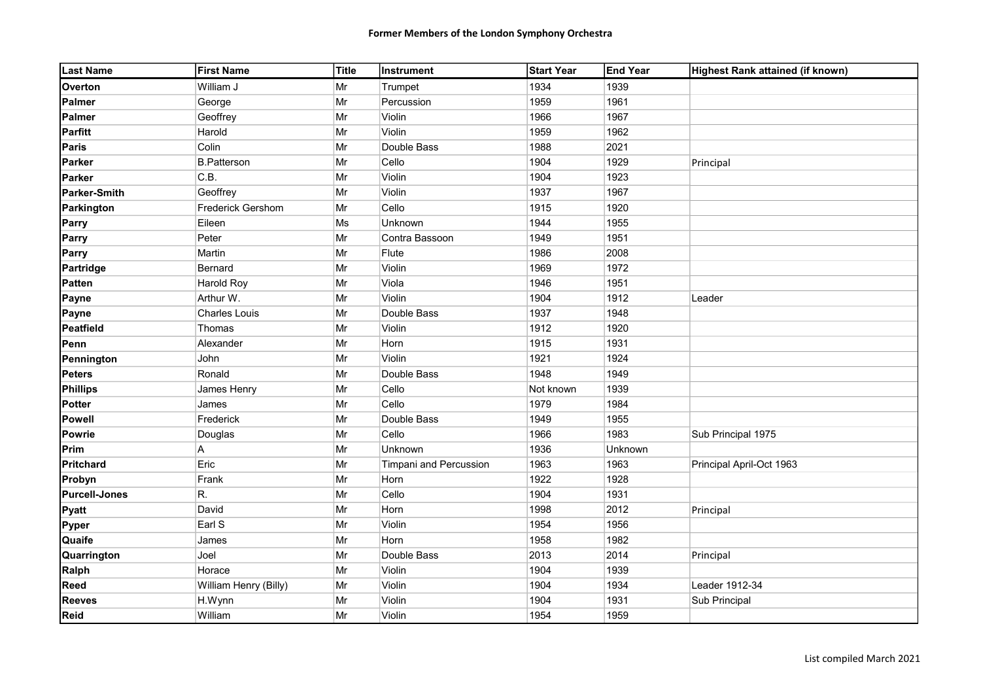| <b>Last Name</b>     | <b>First Name</b>     | Title      | Instrument             | Start Year | <b>End Year</b> | Highest Rank attained (if known) |
|----------------------|-----------------------|------------|------------------------|------------|-----------------|----------------------------------|
| <b>Overton</b>       | William J             | Mr         | Trumpet                | 1934       | 1939            |                                  |
| Palmer               | George                | Mr         | Percussion             | 1959       | 1961            |                                  |
| <b>Palmer</b>        | Geoffrey              | Mr         | Violin                 | 1966       | 1967            |                                  |
| <b>Parfitt</b>       | Harold                | Mr         | Violin                 | 1959       | 1962            |                                  |
| <b>Paris</b>         | Colin                 | Mr         | Double Bass            | 1988       | 2021            |                                  |
| <b>Parker</b>        | <b>B.Patterson</b>    | Mr         | Cello                  | 1904       | 1929            | Principal                        |
| <b>Parker</b>        | C.B.                  | Mr         | Violin                 | 1904       | 1923            |                                  |
| Parker-Smith         | Geoffrey              | Mr         | Violin                 | 1937       | 1967            |                                  |
| Parkington           | Frederick Gershom     | Mr         | Cello                  | 1915       | 1920            |                                  |
| Parry                | Eileen                | Ms         | Unknown                | 1944       | 1955            |                                  |
| Parry                | Peter                 | Mr         | Contra Bassoon         | 1949       | 1951            |                                  |
| Parry                | Martin                | Mr         | Flute                  | 1986       | 2008            |                                  |
| Partridge            | Bernard               | Mr         | Violin                 | 1969       | 1972            |                                  |
| <b>Patten</b>        | Harold Roy            | Mr         | Viola                  | 1946       | 1951            |                                  |
| Payne                | Arthur W.             | Mr         | Violin                 | 1904       | 1912            | Leader                           |
| Payne                | Charles Louis         | $\vert$ Mr | Double Bass            | 1937       | 1948            |                                  |
| Peatfield            | Thomas                | Mr         | Violin                 | 1912       | 1920            |                                  |
| Penn                 | Alexander             | Mr         | Horn                   | 1915       | 1931            |                                  |
| Pennington           | John                  | $\vert$ Mr | Violin                 | 1921       | 1924            |                                  |
| <b>Peters</b>        | Ronald                | Mr         | Double Bass            | 1948       | 1949            |                                  |
| <b>Phillips</b>      | James Henry           | Mr         | Cello                  | Not known  | 1939            |                                  |
| <b>Potter</b>        | James                 | Mr         | Cello                  | 1979       | 1984            |                                  |
| <b>Powell</b>        | Frederick             | Mr         | Double Bass            | 1949       | 1955            |                                  |
| <b>Powrie</b>        | Douglas               | Mr         | Cello                  | 1966       | 1983            | Sub Principal 1975               |
| <b>Prim</b>          | А                     | Mr         | Unknown                | 1936       | Unknown         |                                  |
| Pritchard            | Eric                  | Mr         | Timpani and Percussion | 1963       | 1963            | Principal April-Oct 1963         |
| Probyn               | Frank                 | Mr         | Horn                   | 1922       | 1928            |                                  |
| <b>Purcell-Jones</b> | R.                    | Mr         | Cello                  | 1904       | 1931            |                                  |
| Pyatt                | David                 | Mr         | Horn                   | 1998       | 2012            | Principal                        |
| Pyper                | Earl S                | $\vert$ Mr | Violin                 | 1954       | 1956            |                                  |
| Quaife               | James                 | Mr         | Horn                   | 1958       | 1982            |                                  |
| Quarrington          | Joel                  | $\vert$ Mr | Double Bass            | 2013       | 2014            | Principal                        |
| Ralph                | Horace                | Mr         | Violin                 | 1904       | 1939            |                                  |
| <b>Reed</b>          | William Henry (Billy) | Mr         | Violin                 | 1904       | 1934            | Leader 1912-34                   |
| <b>Reeves</b>        | H.Wynn                | Mr         | Violin                 | 1904       | 1931            | Sub Principal                    |
| <b>Reid</b>          | William               | Mr         | Violin                 | 1954       | 1959            |                                  |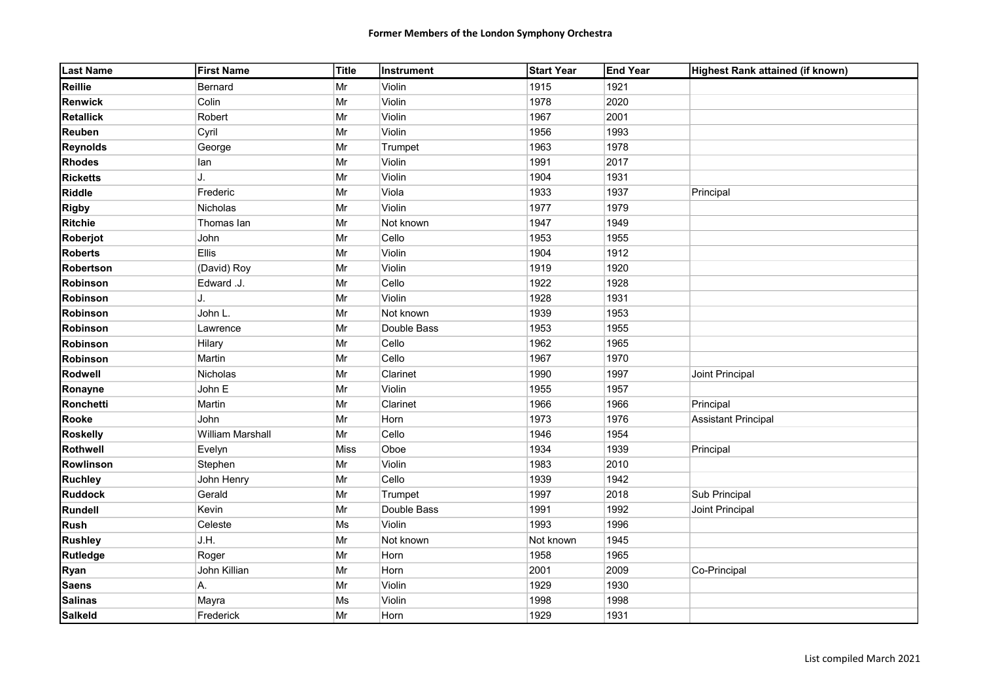| <b>Last Name</b> | <b>First Name</b> | Title      | Instrument  | <b>Start Year</b> | <b>End Year</b> | Highest Rank attained (if known) |
|------------------|-------------------|------------|-------------|-------------------|-----------------|----------------------------------|
| Reillie          | Bernard           | Mr         | Violin      | 1915              | 1921            |                                  |
| <b>Renwick</b>   | Colin             | Mr         | Violin      | 1978              | 2020            |                                  |
| <b>Retallick</b> | Robert            | Mr         | Violin      | 1967              | 2001            |                                  |
| Reuben           | Cyril             | Mr         | Violin      | 1956              | 1993            |                                  |
| <b>Reynolds</b>  | George            | Mr         | Trumpet     | 1963              | 1978            |                                  |
| <b>Rhodes</b>    | lan               | Mr         | Violin      | 1991              | 2017            |                                  |
| <b>Ricketts</b>  | J.                | Mr         | Violin      | 1904              | 1931            |                                  |
| <b>Riddle</b>    | Frederic          | Mr         | Viola       | 1933              | 1937            | Principal                        |
| <b>Rigby</b>     | Nicholas          | Mr         | Violin      | 1977              | 1979            |                                  |
| <b>Ritchie</b>   | Thomas lan        | Mr         | Not known   | 1947              | 1949            |                                  |
| Roberjot         | John              | $\vert$ Mr | Cello       | 1953              | 1955            |                                  |
| <b>Roberts</b>   | Ellis             | Mr         | Violin      | 1904              | 1912            |                                  |
| <b>Robertson</b> | (David) Roy       | Mr         | Violin      | 1919              | 1920            |                                  |
| Robinson         | Edward .J.        | Mr         | Cello       | 1922              | 1928            |                                  |
| Robinson         | J.                | Mr         | Violin      | 1928              | 1931            |                                  |
| Robinson         | John L.           | $\vert$ Mr | Not known   | 1939              | 1953            |                                  |
| Robinson         | Lawrence          | Mr         | Double Bass | 1953              | 1955            |                                  |
| <b>Robinson</b>  | Hilary            | $\vert$ Mr | Cello       | 1962              | 1965            |                                  |
| Robinson         | Martin            | $\vert$ Mr | Cello       | 1967              | 1970            |                                  |
| Rodwell          | Nicholas          | Mr         | Clarinet    | 1990              | 1997            | Joint Principal                  |
| Ronayne          | John E            | Mr         | Violin      | 1955              | 1957            |                                  |
| Ronchetti        | Martin            | Mr         | Clarinet    | 1966              | 1966            | Principal                        |
| <b>Rooke</b>     | John              | Mr         | Horn        | 1973              | 1976            | <b>Assistant Principal</b>       |
| <b>Roskelly</b>  | William Marshall  | Mr         | Cello       | 1946              | 1954            |                                  |
| Rothwell         | Evelyn            | Miss       | Oboe        | 1934              | 1939            | Principal                        |
| Rowlinson        | Stephen           | Mr         | Violin      | 1983              | 2010            |                                  |
| <b>Ruchley</b>   | John Henry        | Mr         | Cello       | 1939              | 1942            |                                  |
| <b>Ruddock</b>   | Gerald            | $\vert$ Mr | Trumpet     | 1997              | 2018            | Sub Principal                    |
| <b>Rundell</b>   | Kevin             | Mr         | Double Bass | 1991              | 1992            | Joint Principal                  |
| <b>Rush</b>      | Celeste           | Ms         | Violin      | 1993              | 1996            |                                  |
| <b>Rushley</b>   | J.H.              | Mr         | Not known   | Not known         | 1945            |                                  |
| <b>Rutledge</b>  | Roger             | Mr         | Horn        | 1958              | 1965            |                                  |
| Ryan             | John Killian      | Mr         | Horn        | 2001              | 2009            | Co-Principal                     |
| <b>Saens</b>     | А.                | $\vert$ Mr | Violin      | 1929              | 1930            |                                  |
| <b>Salinas</b>   | Mayra             | Ms         | Violin      | 1998              | 1998            |                                  |
| <b>Salkeld</b>   | Frederick         | Mr         | Horn        | 1929              | 1931            |                                  |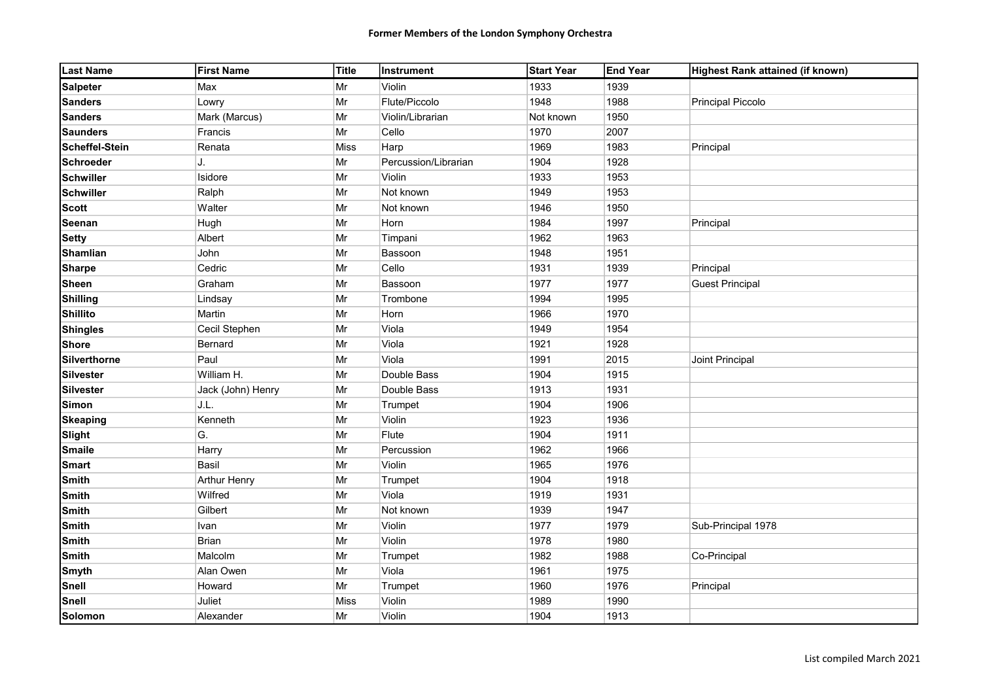| <b>Last Name</b> | <b>First Name</b>   | Title | Instrument           | Start Year | <b>End Year</b> | Highest Rank attained (if known) |
|------------------|---------------------|-------|----------------------|------------|-----------------|----------------------------------|
| <b>Salpeter</b>  | Max                 | Mr    | Violin               | 1933       | 1939            |                                  |
| <b>Sanders</b>   | Lowry               | Mr    | Flute/Piccolo        | 1948       | 1988            | <b>Principal Piccolo</b>         |
| <b>Sanders</b>   | Mark (Marcus)       | Mr    | Violin/Librarian     | Not known  | 1950            |                                  |
| <b>Saunders</b>  | Francis             | Mr    | Cello                | 1970       | 2007            |                                  |
| Scheffel-Stein   | Renata              | Miss  | Harp                 | 1969       | 1983            | Principal                        |
| <b>Schroeder</b> | IJ.                 | Mr    | Percussion/Librarian | 1904       | 1928            |                                  |
| <b>Schwiller</b> | Isidore             | Mr    | Violin               | 1933       | 1953            |                                  |
| <b>Schwiller</b> | Ralph               | Mr    | Not known            | 1949       | 1953            |                                  |
| <b>Scott</b>     | Walter              | Mr    | Not known            | 1946       | 1950            |                                  |
| Seenan           | Hugh                | Mr    | Horn                 | 1984       | 1997            | Principal                        |
| <b>Setty</b>     | Albert              | Mr    | Timpani              | 1962       | 1963            |                                  |
| <b>Shamlian</b>  | John                | Mr    | Bassoon              | 1948       | 1951            |                                  |
| <b>Sharpe</b>    | Cedric              | Mr    | Cello                | 1931       | 1939            | Principal                        |
| <b>Sheen</b>     | Graham              | Mr    | Bassoon              | 1977       | 1977            | <b>Guest Principal</b>           |
| <b>Shilling</b>  | Lindsay             | Mr    | Trombone             | 1994       | 1995            |                                  |
| <b>Shillito</b>  | Martin              | Mr    | Horn                 | 1966       | 1970            |                                  |
| <b>Shingles</b>  | Cecil Stephen       | Mr    | Viola                | 1949       | 1954            |                                  |
| <b>Shore</b>     | Bernard             | Mr    | Viola                | 1921       | 1928            |                                  |
| Silverthorne     | Paul                | Mr    | Viola                | 1991       | 2015            | Joint Principal                  |
| <b>Silvester</b> | William H.          | Mr    | Double Bass          | 1904       | 1915            |                                  |
| <b>Silvester</b> | Jack (John) Henry   | Mr    | Double Bass          | 1913       | 1931            |                                  |
| <b>Simon</b>     | J.L.                | Mr    | Trumpet              | 1904       | 1906            |                                  |
| <b>Skeaping</b>  | Kenneth             | Mr    | Violin               | 1923       | 1936            |                                  |
| <b>Slight</b>    | G.                  | Mr    | Flute                | 1904       | 1911            |                                  |
| <b>Smaile</b>    | Harry               | Mr    | Percussion           | 1962       | 1966            |                                  |
| <b>Smart</b>     | Basil               | Mr    | Violin               | 1965       | 1976            |                                  |
| <b>Smith</b>     | <b>Arthur Henry</b> | Mr    | Trumpet              | 1904       | 1918            |                                  |
| <b>Smith</b>     | Wilfred             | Mr    | Viola                | 1919       | 1931            |                                  |
| <b>Smith</b>     | Gilbert             | Mr    | Not known            | 1939       | 1947            |                                  |
| <b>Smith</b>     | Ivan                | Mr    | Violin               | 1977       | 1979            | Sub-Principal 1978               |
| <b>Smith</b>     | Brian               | Mr    | Violin               | 1978       | 1980            |                                  |
| <b>Smith</b>     | Malcolm             | Mr    | Trumpet              | 1982       | 1988            | Co-Principal                     |
| Smyth            | Alan Owen           | Mr    | Viola                | 1961       | 1975            |                                  |
| <b>Snell</b>     | Howard              | Mr    | Trumpet              | 1960       | 1976            | Principal                        |
| Snell            | Juliet              | Miss  | Violin               | 1989       | 1990            |                                  |
| Solomon          | Alexander           | Mr    | Violin               | 1904       | 1913            |                                  |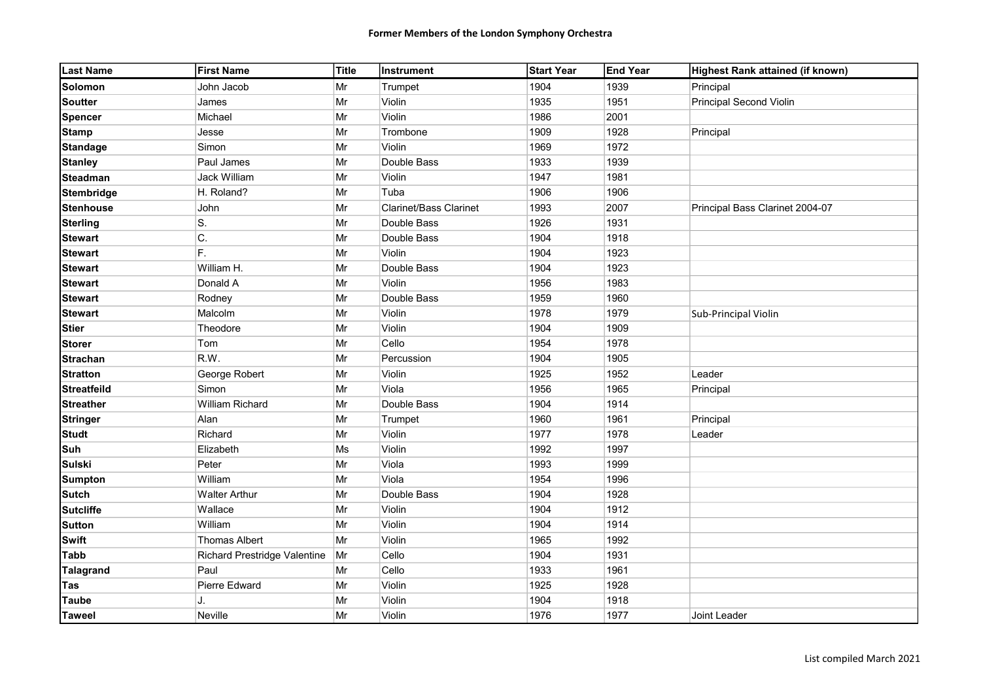| <b>Last Name</b>   | <b>First Name</b>            | Title      | Instrument                    | <b>Start Year</b> | End Year | Highest Rank attained (if known) |
|--------------------|------------------------------|------------|-------------------------------|-------------------|----------|----------------------------------|
| Solomon            | John Jacob                   | Mr         | Trumpet                       | 1904              | 1939     | Principal                        |
| <b>Soutter</b>     | James                        | Mr         | Violin                        | 1935              | 1951     | Principal Second Violin          |
| <b>Spencer</b>     | Michael                      | Mr         | Violin                        | 1986              | 2001     |                                  |
| <b>Stamp</b>       | Jesse                        | Mr         | Trombone                      | 1909              | 1928     | Principal                        |
| <b>Standage</b>    | Simon                        | Mr         | Violin                        | 1969              | 1972     |                                  |
| <b>Stanley</b>     | Paul James                   | Mr         | Double Bass                   | 1933              | 1939     |                                  |
| <b>Steadman</b>    | Jack William                 | Mr         | Violin                        | 1947              | 1981     |                                  |
| <b>Stembridge</b>  | H. Roland?                   | Mr         | Tuba                          | 1906              | 1906     |                                  |
| <b>Stenhouse</b>   | John                         | Mr         | <b>Clarinet/Bass Clarinet</b> | 1993              | 2007     | Principal Bass Clarinet 2004-07  |
| <b>Sterling</b>    | S.                           | Mr         | Double Bass                   | 1926              | 1931     |                                  |
| <b>Stewart</b>     | C.                           | Mr         | Double Bass                   | 1904              | 1918     |                                  |
| <b>Stewart</b>     | F.                           | Mr         | Violin                        | 1904              | 1923     |                                  |
| <b>Stewart</b>     | William H.                   | Mr         | Double Bass                   | 1904              | 1923     |                                  |
| <b>Stewart</b>     | Donald A                     | Mr         | Violin                        | 1956              | 1983     |                                  |
| <b>Stewart</b>     | Rodney                       | Mr         | Double Bass                   | 1959              | 1960     |                                  |
| <b>Stewart</b>     | Malcolm                      | Mr         | Violin                        | 1978              | 1979     | Sub-Principal Violin             |
| <b>Stier</b>       | Theodore                     | Mr         | Violin                        | 1904              | 1909     |                                  |
| <b>Storer</b>      | Tom                          | Mr         | Cello                         | 1954              | 1978     |                                  |
| <b>Strachan</b>    | R.W.                         | Mr         | Percussion                    | 1904              | 1905     |                                  |
| <b>Stratton</b>    | George Robert                | Mr         | Violin                        | 1925              | 1952     | Leader                           |
| <b>Streatfeild</b> | Simon                        | Mr         | Viola                         | 1956              | 1965     | Principal                        |
| <b>Streather</b>   | William Richard              | Mr         | Double Bass                   | 1904              | 1914     |                                  |
| <b>Stringer</b>    | Alan                         | Mr         | Trumpet                       | 1960              | 1961     | Principal                        |
| <b>Studt</b>       | Richard                      | Mr         | Violin                        | 1977              | 1978     | Leader                           |
| Suh                | Elizabeth                    | Ms         | Violin                        | 1992              | 1997     |                                  |
| <b>Sulski</b>      | Peter                        | Mr         | Viola                         | 1993              | 1999     |                                  |
| <b>Sumpton</b>     | William                      | Mr         | Viola                         | 1954              | 1996     |                                  |
| <b>Sutch</b>       | <b>Walter Arthur</b>         | $\vert$ Mr | Double Bass                   | 1904              | 1928     |                                  |
| <b>Sutcliffe</b>   | Wallace                      | Mr         | Violin                        | 1904              | 1912     |                                  |
| <b>Sutton</b>      | William                      | Mr         | Violin                        | 1904              | 1914     |                                  |
| <b>Swift</b>       | <b>Thomas Albert</b>         | Mr         | Violin                        | 1965              | 1992     |                                  |
| <b>Tabb</b>        | Richard Prestridge Valentine | Mr         | Cello                         | 1904              | 1931     |                                  |
| <b>Talagrand</b>   | Paul                         | Mr         | Cello                         | 1933              | 1961     |                                  |
| Tas                | <b>Pierre Edward</b>         | Mr         | Violin                        | 1925              | 1928     |                                  |
| <b>Taube</b>       | J.                           | Mr         | Violin                        | 1904              | 1918     |                                  |
| <b>Taweel</b>      | Neville                      | Mr         | Violin                        | 1976              | 1977     | Joint Leader                     |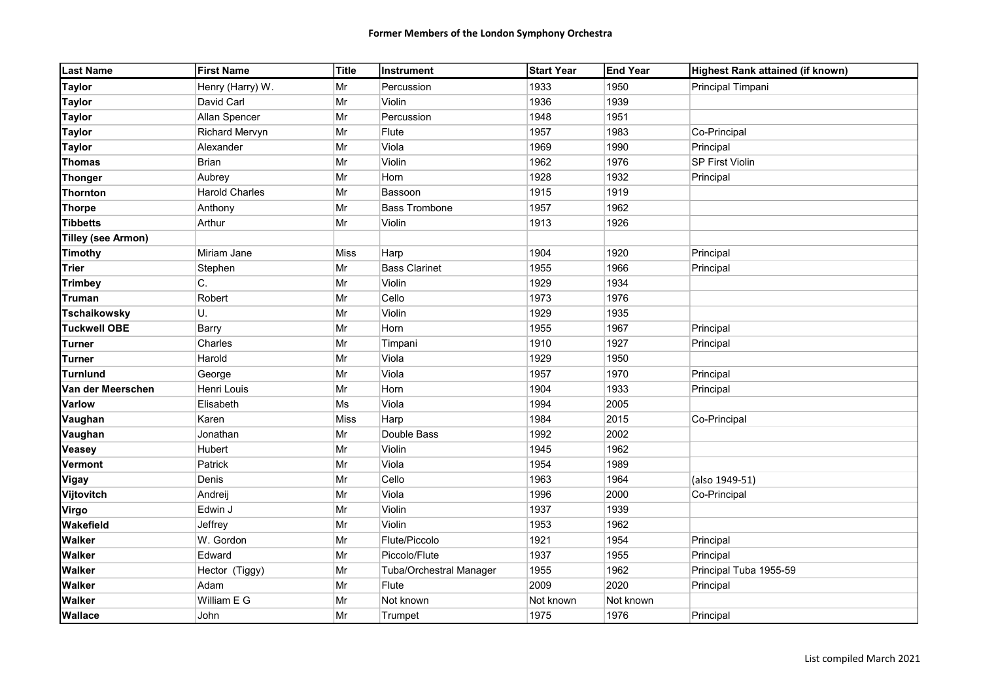| <b>Last Name</b>          | <b>First Name</b>     | Title | <b>Instrument</b>              | <b>Start Year</b> | <b>End Year</b> | Highest Rank attained (if known) |
|---------------------------|-----------------------|-------|--------------------------------|-------------------|-----------------|----------------------------------|
| <b>Taylor</b>             | Henry (Harry) W.      | Mr    | Percussion                     | 1933              | 1950            | Principal Timpani                |
| <b>Taylor</b>             | David Carl            | Mr    | Violin                         | 1936              | 1939            |                                  |
| <b>Taylor</b>             | Allan Spencer         | Mr    | Percussion                     | 1948              | 1951            |                                  |
| <b>Taylor</b>             | Richard Mervyn        | Mr    | Flute                          | 1957              | 1983            | Co-Principal                     |
| <b>Taylor</b>             | Alexander             | Mr    | Viola                          | 1969              | 1990            | Principal                        |
| <b>Thomas</b>             | Brian                 | Mr    | Violin                         | 1962              | 1976            | <b>SP First Violin</b>           |
| <b>Thonger</b>            | Aubrey                | Mr    | Horn                           | 1928              | 1932            | Principal                        |
| <b>Thornton</b>           | <b>Harold Charles</b> | Mr    | Bassoon                        | 1915              | 1919            |                                  |
| <b>Thorpe</b>             | Anthony               | Mr    | <b>Bass Trombone</b>           | 1957              | 1962            |                                  |
| <b>Tibbetts</b>           | Arthur                | Mr    | Violin                         | 1913              | 1926            |                                  |
| <b>Tilley (see Armon)</b> |                       |       |                                |                   |                 |                                  |
| <b>Timothy</b>            | Miriam Jane           | Miss  | Harp                           | 1904              | 1920            | Principal                        |
| <b>Trier</b>              | Stephen               | Mr    | <b>Bass Clarinet</b>           | 1955              | 1966            | Principal                        |
| <b>Trimbey</b>            | C.                    | Mr    | Violin                         | 1929              | 1934            |                                  |
| <b>Truman</b>             | Robert                | Mr    | Cello                          | 1973              | 1976            |                                  |
| <b>Tschaikowsky</b>       | U.                    | Mr    | Violin                         | 1929              | 1935            |                                  |
| <b>Tuckwell OBE</b>       | Barry                 | Mr    | Horn                           | 1955              | 1967            | Principal                        |
| Turner                    | Charles               | Mr    | Timpani                        | 1910              | 1927            | Principal                        |
| Turner                    | Harold                | Mr    | Viola                          | 1929              | 1950            |                                  |
| <b>Turnlund</b>           | George                | Mr    | Viola                          | 1957              | 1970            | Principal                        |
| Van der Meerschen         | Henri Louis           | Mr    | Horn                           | 1904              | 1933            | Principal                        |
| <b>Varlow</b>             | Elisabeth             | Ms    | Viola                          | 1994              | 2005            |                                  |
| Vaughan                   | Karen                 | Miss  | Harp                           | 1984              | 2015            | Co-Principal                     |
| Vaughan                   | Jonathan              | Mr    | Double Bass                    | 1992              | 2002            |                                  |
| <b>Veasey</b>             | Hubert                | Mr    | Violin                         | 1945              | 1962            |                                  |
| <b>Vermont</b>            | Patrick               | Mr    | Viola                          | 1954              | 1989            |                                  |
| <b>Vigay</b>              | Denis                 | Mr    | Cello                          | 1963              | 1964            | (also 1949-51)                   |
| Vijtovitch                | Andreij               | Mr    | Viola                          | 1996              | 2000            | Co-Principal                     |
| Virgo                     | Edwin J               | Mr    | Violin                         | 1937              | 1939            |                                  |
| Wakefield                 | Jeffrey               | Mr    | Violin                         | 1953              | 1962            |                                  |
| <b>Walker</b>             | W. Gordon             | Mr    | Flute/Piccolo                  | 1921              | 1954            | Principal                        |
| <b>Walker</b>             | Edward                | Mr    | Piccolo/Flute                  | 1937              | 1955            | Principal                        |
| <b>Walker</b>             | Hector (Tiggy)        | Mr    | <b>Tuba/Orchestral Manager</b> | 1955              | 1962            | Principal Tuba 1955-59           |
| <b>Walker</b>             | Adam                  | Mr    | Flute                          | 2009              | 2020            | Principal                        |
| <b>Walker</b>             | William E G           | Mr    | Not known                      | Not known         | Not known       |                                  |
| <b>Wallace</b>            | John                  | Mr    | Trumpet                        | 1975              | 1976            | Principal                        |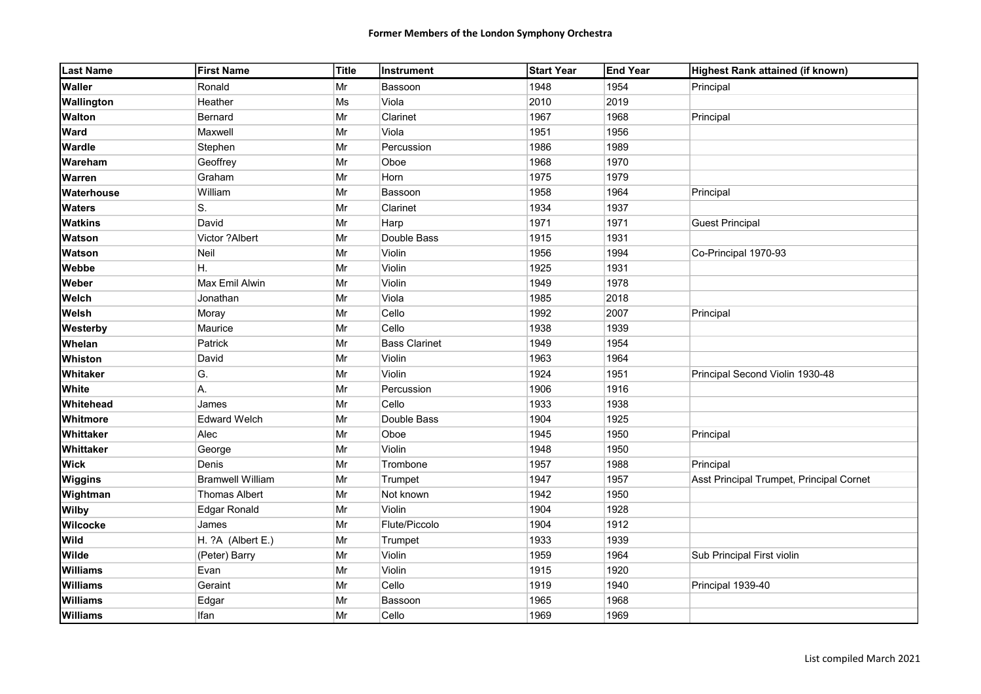| <b>Last Name</b> | <b>First Name</b>       | Title      | Instrument           | <b>Start Year</b> | <b>End Year</b> | Highest Rank attained (if known)         |
|------------------|-------------------------|------------|----------------------|-------------------|-----------------|------------------------------------------|
| <b>Waller</b>    | Ronald                  | Mr         | Bassoon              | 1948              | 1954            | Principal                                |
| Wallington       | Heather                 | Ms         | Viola                | 2010              | 2019            |                                          |
| <b>Walton</b>    | Bernard                 | Mr         | Clarinet             | 1967              | 1968            | Principal                                |
| Ward             | Maxwell                 | Mr         | Viola                | 1951              | 1956            |                                          |
| Wardle           | Stephen                 | Mr         | Percussion           | 1986              | 1989            |                                          |
| Wareham          | Geoffrey                | Mr         | Oboe                 | 1968              | 1970            |                                          |
| <b>Warren</b>    | Graham                  | Mr         | Horn                 | 1975              | 1979            |                                          |
| Waterhouse       | William                 | Mr         | Bassoon              | 1958              | 1964            | Principal                                |
| <b>Waters</b>    | S.                      | Mr         | Clarinet             | 1934              | 1937            |                                          |
| <b>Watkins</b>   | David                   | Mr         | Harp                 | 1971              | 1971            | <b>Guest Principal</b>                   |
| Watson           | Victor ?Albert          | Mr         | Double Bass          | 1915              | 1931            |                                          |
| <b>Watson</b>    | Neil                    | Mr         | Violin               | 1956              | 1994            | Co-Principal 1970-93                     |
| Webbe            | Η.                      | Mr         | Violin               | 1925              | 1931            |                                          |
| Weber            | Max Emil Alwin          | $\vert$ Mr | Violin               | 1949              | 1978            |                                          |
| Welch            | Jonathan                | $\vert$ Mr | Viola                | 1985              | 2018            |                                          |
| Welsh            | Moray                   | Mr         | Cello                | 1992              | 2007            | Principal                                |
| Westerby         | Maurice                 | Mr         | Cello                | 1938              | 1939            |                                          |
| Whelan           | Patrick                 | $\vert$ Mr | <b>Bass Clarinet</b> | 1949              | 1954            |                                          |
| Whiston          | David                   | Mr         | Violin               | 1963              | 1964            |                                          |
| Whitaker         | G.                      | Mr         | Violin               | 1924              | 1951            | Principal Second Violin 1930-48          |
| White            | А.                      | Mr         | Percussion           | 1906              | 1916            |                                          |
| Whitehead        | James                   | Mr         | Cello                | 1933              | 1938            |                                          |
| Whitmore         | <b>Edward Welch</b>     | Mr         | Double Bass          | 1904              | 1925            |                                          |
| Whittaker        | Alec                    | $\vert$ Mr | Oboe                 | 1945              | 1950            | Principal                                |
| Whittaker        | George                  | Mr         | Violin               | 1948              | 1950            |                                          |
| <b>Wick</b>      | Denis                   | $\vert$ Mr | Trombone             | 1957              | 1988            | Principal                                |
| <b>Wiggins</b>   | <b>Bramwell William</b> | $\vert$ Mr | Trumpet              | 1947              | 1957            | Asst Principal Trumpet, Principal Cornet |
| Wightman         | <b>Thomas Albert</b>    | Mr         | Not known            | 1942              | 1950            |                                          |
| <b>Wilby</b>     | <b>Edgar Ronald</b>     | Mr         | Violin               | 1904              | 1928            |                                          |
| Wilcocke         | James                   | Mr         | Flute/Piccolo        | 1904              | 1912            |                                          |
| <b>Wild</b>      | H. ?A (Albert E.)       | Mr         | Trumpet              | 1933              | 1939            |                                          |
| <b>Wilde</b>     | (Peter) Barry           | $\vert$ Mr | Violin               | 1959              | 1964            | Sub Principal First violin               |
| <b>Williams</b>  | Evan                    | $\vert$ Mr | Violin               | 1915              | 1920            |                                          |
| <b>Williams</b>  | Geraint                 | $\vert$ Mr | Cello                | 1919              | 1940            | Principal 1939-40                        |
| <b>Williams</b>  | Edgar                   | $\vert$ Mr | Bassoon              | 1965              | 1968            |                                          |
| <b>Williams</b>  | Ifan                    | Mr         | Cello                | 1969              | 1969            |                                          |